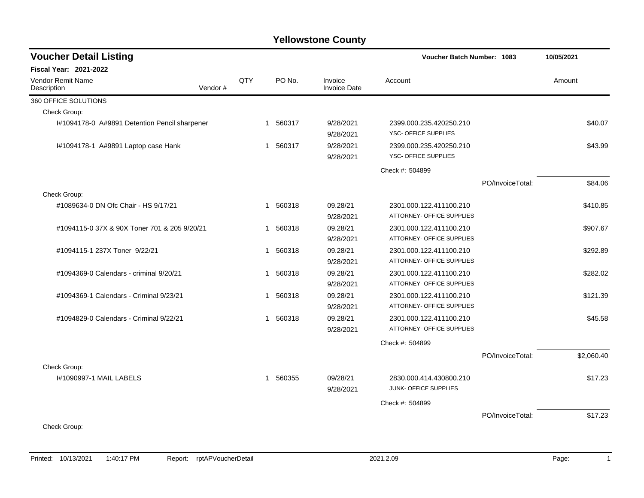| <b>Voucher Detail Listing</b>                 |         |              |                        |                                | Voucher Batch Number: 1083                           |                  | 10/05/2021 |
|-----------------------------------------------|---------|--------------|------------------------|--------------------------------|------------------------------------------------------|------------------|------------|
| <b>Fiscal Year: 2021-2022</b>                 |         |              |                        |                                |                                                      |                  |            |
| Vendor Remit Name<br>Description              | Vendor# | QTY          | PO No.                 | Invoice<br><b>Invoice Date</b> | Account                                              |                  | Amount     |
| 360 OFFICE SOLUTIONS                          |         |              |                        |                                |                                                      |                  |            |
| Check Group:                                  |         |              |                        |                                |                                                      |                  |            |
| I#1094178-0 A#9891 Detention Pencil sharpener |         |              | 1 560317               | 9/28/2021<br>9/28/2021         | 2399.000.235.420250.210<br>YSC- OFFICE SUPPLIES      |                  | \$40.07    |
| I#1094178-1 A#9891 Laptop case Hank           |         |              | 560317<br>$\mathbf{1}$ | 9/28/2021<br>9/28/2021         | 2399.000.235.420250.210<br>YSC- OFFICE SUPPLIES      |                  | \$43.99    |
|                                               |         |              |                        |                                | Check #: 504899                                      |                  |            |
|                                               |         |              |                        |                                |                                                      | PO/InvoiceTotal: | \$84.06    |
| Check Group:                                  |         |              |                        |                                |                                                      |                  |            |
| #1089634-0 DN Ofc Chair - HS 9/17/21          |         | 1            | 560318                 | 09.28/21<br>9/28/2021          | 2301.000.122.411100.210<br>ATTORNEY- OFFICE SUPPLIES |                  | \$410.85   |
| #1094115-0 37X & 90X Toner 701 & 205 9/20/21  |         | $\mathbf{1}$ | 560318                 | 09.28/21<br>9/28/2021          | 2301.000.122.411100.210<br>ATTORNEY- OFFICE SUPPLIES |                  | \$907.67   |
| #1094115-1 237X Toner 9/22/21                 |         | $\mathbf{1}$ | 560318                 | 09.28/21<br>9/28/2021          | 2301.000.122.411100.210<br>ATTORNEY- OFFICE SUPPLIES |                  | \$292.89   |
| #1094369-0 Calendars - criminal 9/20/21       |         |              | 1 560318               | 09.28/21<br>9/28/2021          | 2301.000.122.411100.210<br>ATTORNEY- OFFICE SUPPLIES |                  | \$282.02   |
| #1094369-1 Calendars - Criminal 9/23/21       |         | $\mathbf{1}$ | 560318                 | 09.28/21<br>9/28/2021          | 2301.000.122.411100.210<br>ATTORNEY- OFFICE SUPPLIES |                  | \$121.39   |
| #1094829-0 Calendars - Criminal 9/22/21       |         | $\mathbf 1$  | 560318                 | 09.28/21<br>9/28/2021          | 2301.000.122.411100.210<br>ATTORNEY- OFFICE SUPPLIES |                  | \$45.58    |
|                                               |         |              |                        |                                | Check #: 504899                                      |                  |            |
|                                               |         |              |                        |                                |                                                      | PO/InvoiceTotal: | \$2,060.40 |
| Check Group:                                  |         |              |                        |                                |                                                      |                  |            |
| 1#1090997-1 MAIL LABELS                       |         |              | 560355<br>$\mathbf{1}$ | 09/28/21<br>9/28/2021          | 2830.000.414.430800.210<br>JUNK- OFFICE SUPPLIES     |                  | \$17.23    |
|                                               |         |              |                        |                                | Check #: 504899                                      |                  |            |
| Check Group:                                  |         |              |                        |                                |                                                      | PO/InvoiceTotal: | \$17.23    |
|                                               |         |              |                        |                                |                                                      |                  |            |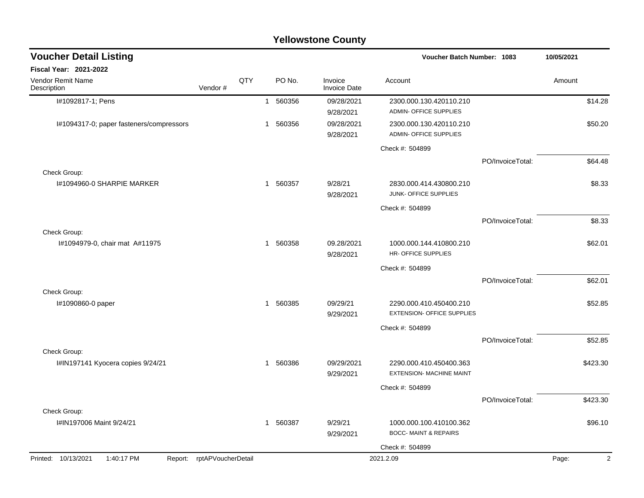| <b>Voucher Detail Listing</b>            |                            |     |              |          |                         | <b>Voucher Batch Number: 1083</b>                            | 10/05/2021       |        |          |
|------------------------------------------|----------------------------|-----|--------------|----------|-------------------------|--------------------------------------------------------------|------------------|--------|----------|
| <b>Fiscal Year: 2021-2022</b>            |                            |     |              |          |                         |                                                              |                  |        |          |
| Vendor Remit Name<br>Description         | Vendor#                    | QTY |              | PO No.   | Invoice<br>Invoice Date | Account                                                      |                  | Amount |          |
| I#1092817-1; Pens                        |                            |     |              | 1 560356 | 09/28/2021<br>9/28/2021 | 2300.000.130.420110.210<br><b>ADMIN- OFFICE SUPPLIES</b>     |                  |        | \$14.28  |
| I#1094317-0; paper fasteners/compressors |                            |     | 1            | 560356   | 09/28/2021<br>9/28/2021 | 2300.000.130.420110.210<br><b>ADMIN- OFFICE SUPPLIES</b>     |                  |        | \$50.20  |
|                                          |                            |     |              |          |                         | Check #: 504899                                              |                  |        |          |
| Check Group:                             |                            |     |              |          |                         |                                                              | PO/InvoiceTotal: |        | \$64.48  |
| I#1094960-0 SHARPIE MARKER               |                            |     | 1            | 560357   | 9/28/21<br>9/28/2021    | 2830.000.414.430800.210<br>JUNK- OFFICE SUPPLIES             |                  |        | \$8.33   |
|                                          |                            |     |              |          |                         | Check #: 504899                                              |                  |        |          |
|                                          |                            |     |              |          |                         |                                                              | PO/InvoiceTotal: |        | \$8.33   |
| Check Group:                             |                            |     |              |          |                         |                                                              |                  |        |          |
| I#1094979-0, chair mat A#11975           |                            |     | 1            | 560358   | 09.28/2021<br>9/28/2021 | 1000.000.144.410800.210<br><b>HR- OFFICE SUPPLIES</b>        |                  |        | \$62.01  |
|                                          |                            |     |              |          |                         | Check #: 504899                                              |                  |        |          |
|                                          |                            |     |              |          |                         |                                                              | PO/InvoiceTotal: |        | \$62.01  |
| Check Group:                             |                            |     |              |          |                         |                                                              |                  |        |          |
| I#1090860-0 paper                        |                            |     |              | 1 560385 | 09/29/21<br>9/29/2021   | 2290.000.410.450400.210<br><b>EXTENSION- OFFICE SUPPLIES</b> |                  |        | \$52.85  |
|                                          |                            |     |              |          |                         | Check #: 504899                                              |                  |        |          |
|                                          |                            |     |              |          |                         |                                                              | PO/InvoiceTotal: |        | \$52.85  |
| Check Group:                             |                            |     |              |          |                         |                                                              |                  |        |          |
| I#IN197141 Kyocera copies 9/24/21        |                            |     | $\mathbf{1}$ | 560386   | 09/29/2021<br>9/29/2021 | 2290.000.410.450400.363<br><b>EXTENSION- MACHINE MAINT</b>   |                  |        | \$423.30 |
|                                          |                            |     |              |          |                         | Check #: 504899                                              |                  |        |          |
|                                          |                            |     |              |          |                         |                                                              | PO/InvoiceTotal: |        | \$423.30 |
| Check Group:                             |                            |     |              |          |                         |                                                              |                  |        |          |
| I#IN197006 Maint 9/24/21                 |                            |     | $\mathbf{1}$ | 560387   | 9/29/21<br>9/29/2021    | 1000.000.100.410100.362<br><b>BOCC-MAINT &amp; REPAIRS</b>   |                  |        | \$96.10  |
|                                          |                            |     |              |          |                         | Check #: 504899                                              |                  |        |          |
| Printed: 10/13/2021<br>1:40:17 PM        | Report: rptAPVoucherDetail |     |              |          |                         | 2021.2.09                                                    |                  | Page:  | 2        |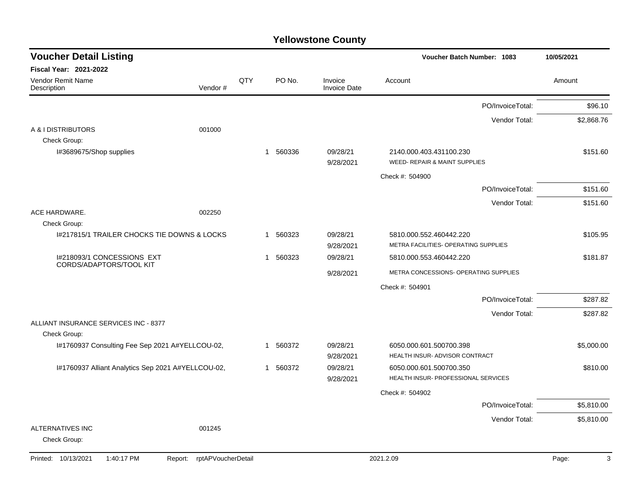| <b>Voucher Detail Listing</b>                                   |                               |     |                        |                                | Voucher Batch Number: 1083                                      | 10/05/2021 |
|-----------------------------------------------------------------|-------------------------------|-----|------------------------|--------------------------------|-----------------------------------------------------------------|------------|
| Fiscal Year: 2021-2022                                          |                               |     |                        |                                |                                                                 |            |
| Vendor Remit Name<br>Description                                | Vendor#                       | QTY | PO No.                 | Invoice<br><b>Invoice Date</b> | Account                                                         | Amount     |
|                                                                 |                               |     |                        |                                | PO/InvoiceTotal:                                                | \$96.10    |
| A & I DISTRIBUTORS                                              | 001000                        |     |                        |                                | Vendor Total:                                                   | \$2,868.76 |
| Check Group:<br>I#3689675/Shop supplies                         |                               |     | 1 560336               | 09/28/21<br>9/28/2021          | 2140.000.403.431100.230<br>WEED- REPAIR & MAINT SUPPLIES        | \$151.60   |
|                                                                 |                               |     |                        |                                | Check #: 504900                                                 |            |
|                                                                 |                               |     |                        |                                | PO/InvoiceTotal:                                                | \$151.60   |
|                                                                 |                               |     |                        |                                | Vendor Total:                                                   | \$151.60   |
| ACE HARDWARE.<br>Check Group:                                   | 002250                        |     |                        |                                |                                                                 |            |
| 1#217815/1 TRAILER CHOCKS TIE DOWNS & LOCKS                     |                               |     | 560323<br>$\mathbf 1$  | 09/28/21<br>9/28/2021          | 5810.000.552.460442.220<br>METRA FACILITIES- OPERATING SUPPLIES | \$105.95   |
| I#218093/1 CONCESSIONS EXT                                      |                               |     | 560323<br>-1           | 09/28/21                       | 5810.000.553.460442.220                                         | \$181.87   |
| CORDS/ADAPTORS/TOOL KIT                                         |                               |     |                        | 9/28/2021                      | METRA CONCESSIONS- OPERATING SUPPLIES                           |            |
|                                                                 |                               |     |                        |                                | Check #: 504901                                                 |            |
|                                                                 |                               |     |                        |                                | PO/InvoiceTotal:                                                | \$287.82   |
|                                                                 |                               |     |                        |                                | Vendor Total:                                                   | \$287.82   |
| ALLIANT INSURANCE SERVICES INC - 8377                           |                               |     |                        |                                |                                                                 |            |
| Check Group:<br>I#1760937 Consulting Fee Sep 2021 A#YELLCOU-02, |                               |     | 560372<br>$\mathbf{1}$ | 09/28/21<br>9/28/2021          | 6050.000.601.500700.398<br>HEALTH INSUR- ADVISOR CONTRACT       | \$5,000.00 |
| I#1760937 Alliant Analytics Sep 2021 A#YELLCOU-02,              |                               |     | 560372<br>$\mathbf 1$  | 09/28/21<br>9/28/2021          | 6050.000.601.500700.350<br>HEALTH INSUR- PROFESSIONAL SERVICES  | \$810.00   |
|                                                                 |                               |     |                        |                                | Check #: 504902                                                 |            |
|                                                                 |                               |     |                        |                                | PO/InvoiceTotal:                                                | \$5,810.00 |
|                                                                 |                               |     |                        |                                | Vendor Total:                                                   | \$5,810.00 |
| <b>ALTERNATIVES INC</b><br>Check Group:                         | 001245                        |     |                        |                                |                                                                 |            |
| Printed: 10/13/2021<br>1:40:17 PM                               | rptAPVoucherDetail<br>Report: |     |                        |                                | 2021.2.09                                                       | Page:<br>3 |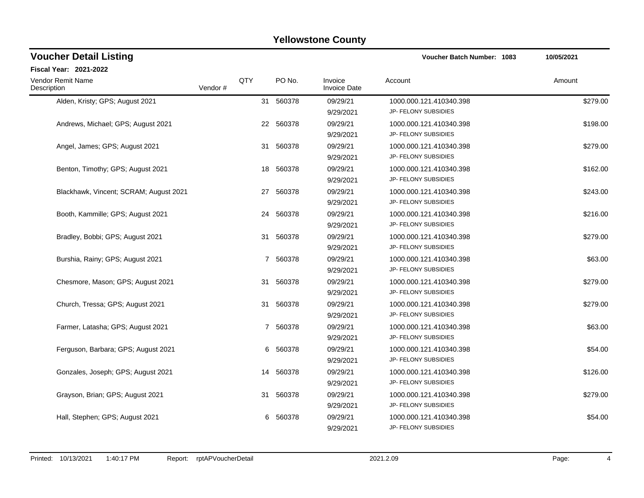| <b>Voucher Detail Listing</b>          |         |     |           |                                | <b>Voucher Batch Number: 1083</b>               | 10/05/2021 |
|----------------------------------------|---------|-----|-----------|--------------------------------|-------------------------------------------------|------------|
| Fiscal Year: 2021-2022                 |         |     |           |                                |                                                 |            |
| Vendor Remit Name<br>Description       | Vendor# | QTY | PO No.    | Invoice<br><b>Invoice Date</b> | Account                                         | Amount     |
| Alden, Kristy; GPS; August 2021        |         |     | 31 560378 | 09/29/21<br>9/29/2021          | 1000.000.121.410340.398<br>JP- FELONY SUBSIDIES | \$279.00   |
| Andrews, Michael; GPS; August 2021     |         |     | 22 560378 | 09/29/21<br>9/29/2021          | 1000.000.121.410340.398<br>JP- FELONY SUBSIDIES | \$198.00   |
| Angel, James; GPS; August 2021         |         | 31  | 560378    | 09/29/21<br>9/29/2021          | 1000.000.121.410340.398<br>JP- FELONY SUBSIDIES | \$279.00   |
| Benton, Timothy; GPS; August 2021      |         | 18  | 560378    | 09/29/21<br>9/29/2021          | 1000.000.121.410340.398<br>JP- FELONY SUBSIDIES | \$162.00   |
| Blackhawk, Vincent; SCRAM; August 2021 |         |     | 27 560378 | 09/29/21<br>9/29/2021          | 1000.000.121.410340.398<br>JP- FELONY SUBSIDIES | \$243.00   |
| Booth, Kammille; GPS; August 2021      |         | 24  | 560378    | 09/29/21<br>9/29/2021          | 1000.000.121.410340.398<br>JP- FELONY SUBSIDIES | \$216.00   |
| Bradley, Bobbi; GPS; August 2021       |         |     | 31 560378 | 09/29/21<br>9/29/2021          | 1000.000.121.410340.398<br>JP- FELONY SUBSIDIES | \$279.00   |
| Burshia, Rainy; GPS; August 2021       |         |     | 7 560378  | 09/29/21<br>9/29/2021          | 1000.000.121.410340.398<br>JP- FELONY SUBSIDIES | \$63.00    |
| Chesmore, Mason; GPS; August 2021      |         |     | 31 560378 | 09/29/21<br>9/29/2021          | 1000.000.121.410340.398<br>JP- FELONY SUBSIDIES | \$279.00   |
| Church, Tressa; GPS; August 2021       |         | 31  | 560378    | 09/29/21<br>9/29/2021          | 1000.000.121.410340.398<br>JP- FELONY SUBSIDIES | \$279.00   |
| Farmer, Latasha; GPS; August 2021      |         |     | 7 560378  | 09/29/21<br>9/29/2021          | 1000.000.121.410340.398<br>JP- FELONY SUBSIDIES | \$63.00    |
| Ferguson, Barbara; GPS; August 2021    |         |     | 6 560378  | 09/29/21<br>9/29/2021          | 1000.000.121.410340.398<br>JP- FELONY SUBSIDIES | \$54.00    |
| Gonzales, Joseph; GPS; August 2021     |         | 14  | 560378    | 09/29/21<br>9/29/2021          | 1000.000.121.410340.398<br>JP- FELONY SUBSIDIES | \$126.00   |
| Grayson, Brian; GPS; August 2021       |         | 31  | 560378    | 09/29/21<br>9/29/2021          | 1000.000.121.410340.398<br>JP- FELONY SUBSIDIES | \$279.00   |
| Hall, Stephen; GPS; August 2021        |         | 6   | 560378    | 09/29/21<br>9/29/2021          | 1000.000.121.410340.398<br>JP- FELONY SUBSIDIES | \$54.00    |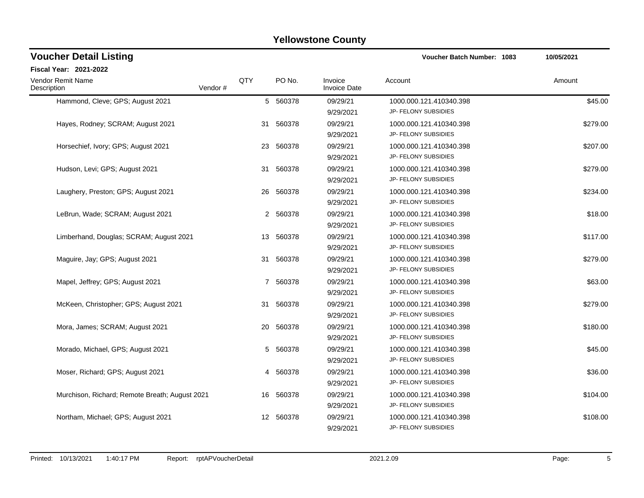| <b>Voucher Detail Listing</b>                  |         |     |           |                                | Voucher Batch Number: 1083                      | 10/05/2021 |
|------------------------------------------------|---------|-----|-----------|--------------------------------|-------------------------------------------------|------------|
| Fiscal Year: 2021-2022                         |         |     |           |                                |                                                 |            |
| Vendor Remit Name<br>Description               | Vendor# | QTY | PO No.    | Invoice<br><b>Invoice Date</b> | Account                                         | Amount     |
| Hammond, Cleve; GPS; August 2021               |         |     | 5 560378  | 09/29/21<br>9/29/2021          | 1000.000.121.410340.398<br>JP- FELONY SUBSIDIES | \$45.00    |
| Hayes, Rodney; SCRAM; August 2021              |         | 31  | 560378    | 09/29/21<br>9/29/2021          | 1000.000.121.410340.398<br>JP- FELONY SUBSIDIES | \$279.00   |
| Horsechief, Ivory; GPS; August 2021            |         |     | 23 560378 | 09/29/21<br>9/29/2021          | 1000.000.121.410340.398<br>JP- FELONY SUBSIDIES | \$207.00   |
| Hudson, Levi; GPS; August 2021                 |         | 31  | 560378    | 09/29/21<br>9/29/2021          | 1000.000.121.410340.398<br>JP- FELONY SUBSIDIES | \$279.00   |
| Laughery, Preston; GPS; August 2021            |         |     | 26 560378 | 09/29/21<br>9/29/2021          | 1000.000.121.410340.398<br>JP- FELONY SUBSIDIES | \$234.00   |
| LeBrun, Wade; SCRAM; August 2021               |         |     | 2 560378  | 09/29/21<br>9/29/2021          | 1000.000.121.410340.398<br>JP- FELONY SUBSIDIES | \$18.00    |
| Limberhand, Douglas; SCRAM; August 2021        |         |     | 13 560378 | 09/29/21<br>9/29/2021          | 1000.000.121.410340.398<br>JP- FELONY SUBSIDIES | \$117.00   |
| Maguire, Jay; GPS; August 2021                 |         | 31  | 560378    | 09/29/21<br>9/29/2021          | 1000.000.121.410340.398<br>JP- FELONY SUBSIDIES | \$279.00   |
| Mapel, Jeffrey; GPS; August 2021               |         |     | 7 560378  | 09/29/21<br>9/29/2021          | 1000.000.121.410340.398<br>JP- FELONY SUBSIDIES | \$63.00    |
| McKeen, Christopher; GPS; August 2021          |         | 31  | 560378    | 09/29/21<br>9/29/2021          | 1000.000.121.410340.398<br>JP- FELONY SUBSIDIES | \$279.00   |
| Mora, James; SCRAM; August 2021                |         | 20  | 560378    | 09/29/21<br>9/29/2021          | 1000.000.121.410340.398<br>JP- FELONY SUBSIDIES | \$180.00   |
| Morado, Michael, GPS; August 2021              |         |     | 5 560378  | 09/29/21<br>9/29/2021          | 1000.000.121.410340.398<br>JP- FELONY SUBSIDIES | \$45.00    |
| Moser, Richard; GPS; August 2021               |         |     | 4 560378  | 09/29/21<br>9/29/2021          | 1000.000.121.410340.398<br>JP- FELONY SUBSIDIES | \$36.00    |
| Murchison, Richard; Remote Breath; August 2021 |         | 16  | 560378    | 09/29/21<br>9/29/2021          | 1000.000.121.410340.398<br>JP- FELONY SUBSIDIES | \$104.00   |
| Northam, Michael; GPS; August 2021             |         |     | 12 560378 | 09/29/21<br>9/29/2021          | 1000.000.121.410340.398<br>JP- FELONY SUBSIDIES | \$108.00   |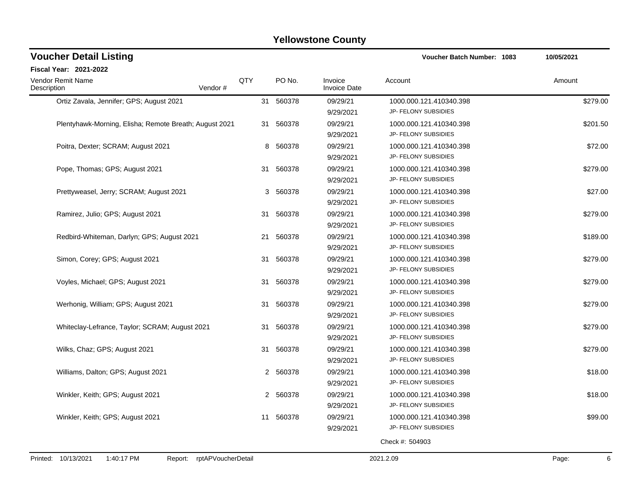| <b>Voucher Detail Listing</b>                                   |     |           |                                | Voucher Batch Number: 1083 | 10/05/2021 |
|-----------------------------------------------------------------|-----|-----------|--------------------------------|----------------------------|------------|
| Fiscal Year: 2021-2022                                          |     |           |                                |                            |            |
| Vendor Remit Name<br>Description<br>Vendor#                     | QTY | PO No.    | Invoice<br><b>Invoice Date</b> | Account                    | Amount     |
| Ortiz Zavala, Jennifer; GPS; August 2021                        | 31  | 560378    | 09/29/21                       | 1000.000.121.410340.398    | \$279.00   |
|                                                                 |     |           | 9/29/2021                      | JP- FELONY SUBSIDIES       |            |
| Plentyhawk-Morning, Elisha; Remote Breath; August 2021          | 31  | 560378    | 09/29/21                       | 1000.000.121.410340.398    | \$201.50   |
|                                                                 |     |           | 9/29/2021                      | JP- FELONY SUBSIDIES       |            |
| Poitra, Dexter; SCRAM; August 2021                              | 8   | 560378    | 09/29/21                       | 1000.000.121.410340.398    | \$72.00    |
|                                                                 |     |           | 9/29/2021                      | JP- FELONY SUBSIDIES       |            |
| Pope, Thomas; GPS; August 2021                                  | 31  | 560378    | 09/29/21                       | 1000.000.121.410340.398    | \$279.00   |
|                                                                 |     |           | 9/29/2021                      | JP- FELONY SUBSIDIES       |            |
| Prettyweasel, Jerry; SCRAM; August 2021                         | 3   | 560378    | 09/29/21                       | 1000.000.121.410340.398    | \$27.00    |
|                                                                 |     |           | 9/29/2021                      | JP- FELONY SUBSIDIES       |            |
| Ramirez, Julio; GPS; August 2021                                |     | 31 560378 | 09/29/21                       | 1000.000.121.410340.398    | \$279.00   |
|                                                                 |     |           | 9/29/2021                      | JP- FELONY SUBSIDIES       |            |
| Redbird-Whiteman, Darlyn; GPS; August 2021                      | 21  | 560378    | 09/29/21                       | 1000.000.121.410340.398    | \$189.00   |
|                                                                 |     |           | 9/29/2021                      | JP- FELONY SUBSIDIES       |            |
| Simon, Corey; GPS; August 2021                                  | 31  | 560378    | 09/29/21                       | 1000.000.121.410340.398    | \$279.00   |
|                                                                 |     |           | 9/29/2021                      | JP- FELONY SUBSIDIES       |            |
| Voyles, Michael; GPS; August 2021                               | 31  | 560378    | 09/29/21                       | 1000.000.121.410340.398    | \$279.00   |
|                                                                 |     |           | 9/29/2021                      | JP- FELONY SUBSIDIES       |            |
| Werhonig, William; GPS; August 2021                             | 31  | 560378    | 09/29/21                       | 1000.000.121.410340.398    | \$279.00   |
|                                                                 |     |           | 9/29/2021                      | JP- FELONY SUBSIDIES       |            |
| Whiteclay-Lefrance, Taylor; SCRAM; August 2021                  | 31  | 560378    | 09/29/21                       | 1000.000.121.410340.398    | \$279.00   |
|                                                                 |     |           | 9/29/2021                      | JP- FELONY SUBSIDIES       |            |
| Wilks, Chaz; GPS; August 2021                                   | 31  | 560378    | 09/29/21                       | 1000.000.121.410340.398    | \$279.00   |
|                                                                 |     |           | 9/29/2021                      | JP- FELONY SUBSIDIES       |            |
| Williams, Dalton; GPS; August 2021                              | 2   | 560378    | 09/29/21                       | 1000.000.121.410340.398    | \$18.00    |
|                                                                 |     |           | 9/29/2021                      | JP- FELONY SUBSIDIES       |            |
| Winkler, Keith; GPS; August 2021                                | 2   | 560378    | 09/29/21                       | 1000.000.121.410340.398    | \$18.00    |
|                                                                 |     |           | 9/29/2021                      | JP- FELONY SUBSIDIES       |            |
| Winkler, Keith; GPS; August 2021                                | 11  | 560378    | 09/29/21                       | 1000.000.121.410340.398    | \$99.00    |
|                                                                 |     |           | 9/29/2021                      | JP- FELONY SUBSIDIES       |            |
|                                                                 |     |           |                                | Check #: 504903            |            |
| Printed: 10/13/2021<br>1:40:17 PM<br>Report: rptAPVoucherDetail |     |           |                                | 2021.2.09                  | 6<br>Page: |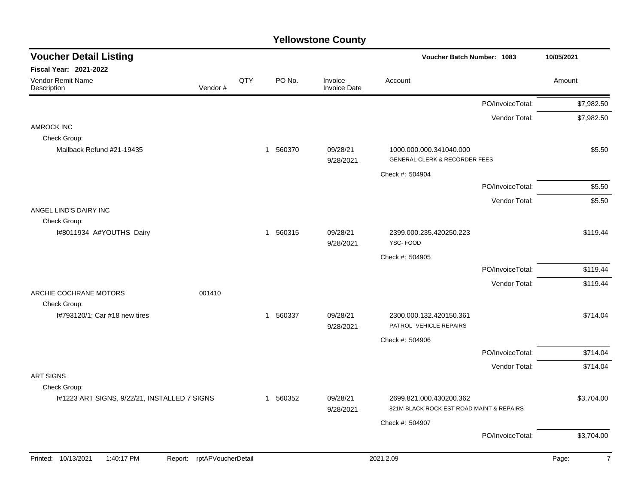| <b>Fiscal Year: 2021-2022</b><br>QTY<br>PO No.<br><b>Vendor Remit Name</b><br>Invoice<br>Amount<br>Account<br>Vendor#<br><b>Invoice Date</b><br>Description<br>PO/InvoiceTotal:<br>Vendor Total:<br><b>AMROCK INC</b> | \$5.50                   |
|-----------------------------------------------------------------------------------------------------------------------------------------------------------------------------------------------------------------------|--------------------------|
|                                                                                                                                                                                                                       | \$7,982.50<br>\$7,982.50 |
|                                                                                                                                                                                                                       |                          |
|                                                                                                                                                                                                                       |                          |
|                                                                                                                                                                                                                       |                          |
|                                                                                                                                                                                                                       |                          |
| Check Group:<br>1 560370<br>Mailback Refund #21-19435<br>09/28/21<br>1000.000.000.341040.000                                                                                                                          |                          |
| <b>GENERAL CLERK &amp; RECORDER FEES</b><br>9/28/2021                                                                                                                                                                 |                          |
| Check #: 504904                                                                                                                                                                                                       |                          |
| PO/InvoiceTotal:                                                                                                                                                                                                      | \$5.50                   |
| Vendor Total:                                                                                                                                                                                                         | \$5.50                   |
| ANGEL LIND'S DAIRY INC<br>Check Group:                                                                                                                                                                                |                          |
| I#8011934 A#YOUTHS Dairy<br>1 560315<br>09/28/21<br>2399.000.235.420250.223<br>YSC-FOOD<br>9/28/2021                                                                                                                  | \$119.44                 |
| Check #: 504905                                                                                                                                                                                                       |                          |
| PO/InvoiceTotal:                                                                                                                                                                                                      | \$119.44                 |
| Vendor Total:                                                                                                                                                                                                         | \$119.44                 |
| ARCHIE COCHRANE MOTORS<br>001410<br>Check Group:                                                                                                                                                                      |                          |
| 1 560337<br>09/28/21<br>2300.000.132.420150.361<br>I#793120/1; Car #18 new tires<br>PATROL- VEHICLE REPAIRS<br>9/28/2021                                                                                              | \$714.04                 |
| Check #: 504906                                                                                                                                                                                                       |                          |
| PO/InvoiceTotal:                                                                                                                                                                                                      | \$714.04                 |
| Vendor Total:                                                                                                                                                                                                         | \$714.04                 |
| <b>ART SIGNS</b>                                                                                                                                                                                                      |                          |
| Check Group:<br>I#1223 ART SIGNS, 9/22/21, INSTALLED 7 SIGNS<br>1 560352<br>09/28/21<br>2699.821.000.430200.362                                                                                                       | \$3,704.00               |
| 821M BLACK ROCK EST ROAD MAINT & REPAIRS<br>9/28/2021                                                                                                                                                                 |                          |
| Check #: 504907                                                                                                                                                                                                       |                          |
| PO/InvoiceTotal:                                                                                                                                                                                                      | \$3,704.00               |
| 1:40:17 PM<br>rptAPVoucherDetail<br>2021.2.09<br>Printed: 10/13/2021<br>Page:<br>Report:                                                                                                                              | $\overline{7}$           |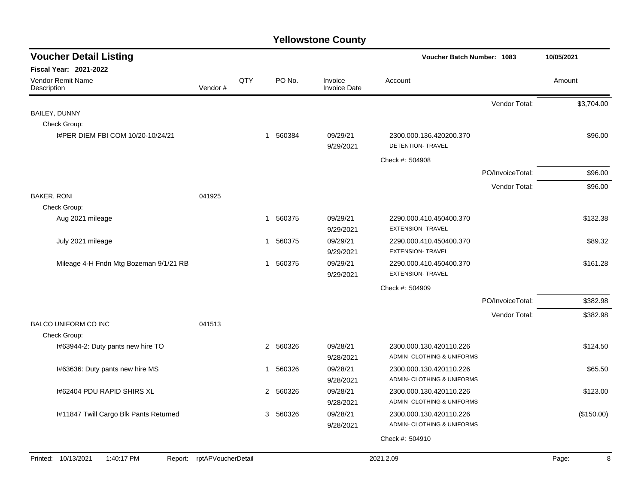| <b>Voucher Detail Listing</b>          |                            |     |             |                                | <b>Voucher Batch Number: 1083</b>            |                  | 10/05/2021 |
|----------------------------------------|----------------------------|-----|-------------|--------------------------------|----------------------------------------------|------------------|------------|
| Fiscal Year: 2021-2022                 |                            |     |             |                                |                                              |                  |            |
| Vendor Remit Name<br>Description       | Vendor#                    | QTY | PO No.      | Invoice<br><b>Invoice Date</b> | Account                                      |                  | Amount     |
|                                        |                            |     |             |                                |                                              | Vendor Total:    | \$3,704.00 |
| BAILEY, DUNNY                          |                            |     |             |                                |                                              |                  |            |
| Check Group:                           |                            |     |             |                                |                                              |                  |            |
| I#PER DIEM FBI COM 10/20-10/24/21      |                            |     | 1 560384    | 09/29/21<br>9/29/2021          | 2300.000.136.420200.370<br>DETENTION- TRAVEL |                  | \$96.00    |
|                                        |                            |     |             |                                | Check #: 504908                              |                  |            |
|                                        |                            |     |             |                                |                                              | PO/InvoiceTotal: | \$96.00    |
|                                        |                            |     |             |                                |                                              | Vendor Total:    | \$96.00    |
| <b>BAKER, RONI</b>                     | 041925                     |     |             |                                |                                              |                  |            |
| Check Group:                           |                            |     |             |                                |                                              |                  |            |
| Aug 2021 mileage                       |                            |     | 1 560375    | 09/29/21                       | 2290.000.410.450400.370                      |                  | \$132.38   |
|                                        |                            |     |             | 9/29/2021                      | <b>EXTENSION- TRAVEL</b>                     |                  |            |
| July 2021 mileage                      |                            |     | 1 560375    | 09/29/21                       | 2290.000.410.450400.370                      |                  | \$89.32    |
|                                        |                            |     |             | 9/29/2021                      | <b>EXTENSION- TRAVEL</b>                     |                  |            |
| Mileage 4-H Fndn Mtg Bozeman 9/1/21 RB |                            |     | 1 560375    | 09/29/21                       | 2290.000.410.450400.370                      |                  | \$161.28   |
|                                        |                            |     |             | 9/29/2021                      | <b>EXTENSION- TRAVEL</b>                     |                  |            |
|                                        |                            |     |             |                                | Check #: 504909                              |                  |            |
|                                        |                            |     |             |                                |                                              | PO/InvoiceTotal: | \$382.98   |
|                                        |                            |     |             |                                |                                              | Vendor Total:    | \$382.98   |
| <b>BALCO UNIFORM CO INC</b>            | 041513                     |     |             |                                |                                              |                  |            |
| Check Group:                           |                            |     |             |                                |                                              |                  |            |
| I#63944-2: Duty pants new hire TO      |                            |     | 2 560326    | 09/28/21                       | 2300.000.130.420110.226                      |                  | \$124.50   |
|                                        |                            |     |             | 9/28/2021                      | ADMIN- CLOTHING & UNIFORMS                   |                  |            |
| I#63636: Duty pants new hire MS        |                            |     | 560326<br>1 | 09/28/21                       | 2300.000.130.420110.226                      |                  | \$65.50    |
|                                        |                            |     |             | 9/28/2021                      | ADMIN- CLOTHING & UNIFORMS                   |                  |            |
| 1#62404 PDU RAPID SHIRS XL             |                            |     | 2 560326    | 09/28/21                       | 2300.000.130.420110.226                      |                  | \$123.00   |
|                                        |                            |     |             | 9/28/2021                      | ADMIN- CLOTHING & UNIFORMS                   |                  |            |
| I#11847 Twill Cargo Blk Pants Returned |                            |     | 560326<br>3 | 09/28/21                       | 2300.000.130.420110.226                      |                  | (\$150.00) |
|                                        |                            |     |             | 9/28/2021                      | ADMIN- CLOTHING & UNIFORMS                   |                  |            |
|                                        |                            |     |             |                                | Check #: 504910                              |                  |            |
| Printed: 10/13/2021<br>1:40:17 PM      | Report: rptAPVoucherDetail |     |             |                                | 2021.2.09                                    |                  | Page:<br>8 |
|                                        |                            |     |             |                                |                                              |                  |            |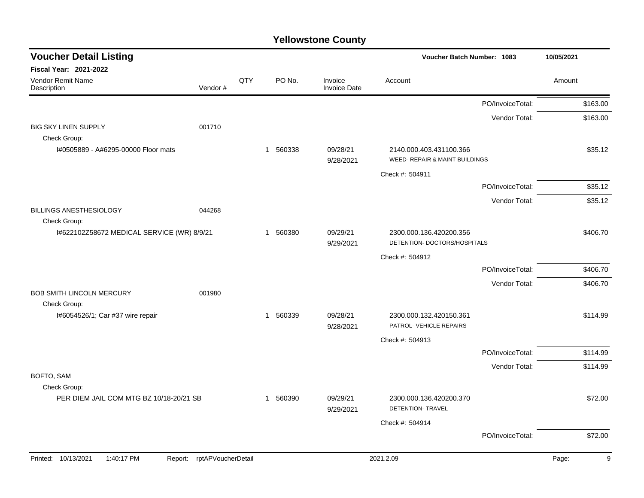| <b>Voucher Detail Listing</b>                              |                    |     |             |                                | Voucher Batch Number: 1083                                | 10/05/2021       |            |
|------------------------------------------------------------|--------------------|-----|-------------|--------------------------------|-----------------------------------------------------------|------------------|------------|
| Fiscal Year: 2021-2022                                     |                    |     |             |                                |                                                           |                  |            |
| Vendor Remit Name<br>Description                           | Vendor#            | QTY | PO No.      | Invoice<br><b>Invoice Date</b> | Account                                                   |                  | Amount     |
|                                                            |                    |     |             |                                |                                                           | PO/InvoiceTotal: | \$163.00   |
|                                                            |                    |     |             |                                |                                                           | Vendor Total:    | \$163.00   |
| <b>BIG SKY LINEN SUPPLY</b><br>Check Group:                | 001710             |     |             |                                |                                                           |                  |            |
| I#0505889 - A#6295-00000 Floor mats                        |                    |     | 1 560338    | 09/28/21<br>9/28/2021          | 2140.000.403.431100.366<br>WEED- REPAIR & MAINT BUILDINGS |                  | \$35.12    |
|                                                            |                    |     |             |                                | Check #: 504911                                           |                  |            |
|                                                            |                    |     |             |                                |                                                           | PO/InvoiceTotal: | \$35.12    |
|                                                            |                    |     |             |                                |                                                           | Vendor Total:    | \$35.12    |
| <b>BILLINGS ANESTHESIOLOGY</b>                             | 044268             |     |             |                                |                                                           |                  |            |
| Check Group:<br>I#622102Z58672 MEDICAL SERVICE (WR) 8/9/21 |                    |     | 560380<br>1 | 09/29/21<br>9/29/2021          | 2300.000.136.420200.356<br>DETENTION- DOCTORS/HOSPITALS   |                  | \$406.70   |
|                                                            |                    |     |             |                                | Check #: 504912                                           |                  |            |
|                                                            |                    |     |             |                                |                                                           | PO/InvoiceTotal: | \$406.70   |
|                                                            |                    |     |             |                                |                                                           | Vendor Total:    | \$406.70   |
| <b>BOB SMITH LINCOLN MERCURY</b><br>Check Group:           | 001980             |     |             |                                |                                                           |                  |            |
| I#6054526/1; Car #37 wire repair                           |                    |     | 560339<br>1 | 09/28/21<br>9/28/2021          | 2300.000.132.420150.361<br>PATROL- VEHICLE REPAIRS        |                  | \$114.99   |
|                                                            |                    |     |             |                                | Check #: 504913                                           |                  |            |
|                                                            |                    |     |             |                                |                                                           | PO/InvoiceTotal: | \$114.99   |
|                                                            |                    |     |             |                                |                                                           | Vendor Total:    | \$114.99   |
| BOFTO, SAM                                                 |                    |     |             |                                |                                                           |                  |            |
| Check Group:<br>PER DIEM JAIL COM MTG BZ 10/18-20/21 SB    |                    |     | 1 560390    | 09/29/21<br>9/29/2021          | 2300.000.136.420200.370<br><b>DETENTION- TRAVEL</b>       |                  | \$72.00    |
|                                                            |                    |     |             |                                | Check #: 504914                                           |                  |            |
|                                                            |                    |     |             |                                |                                                           | PO/InvoiceTotal: | \$72.00    |
| 1:40:17 PM<br>Printed: 10/13/2021<br>Report:               | rptAPVoucherDetail |     |             |                                | 2021.2.09                                                 |                  | 9<br>Page: |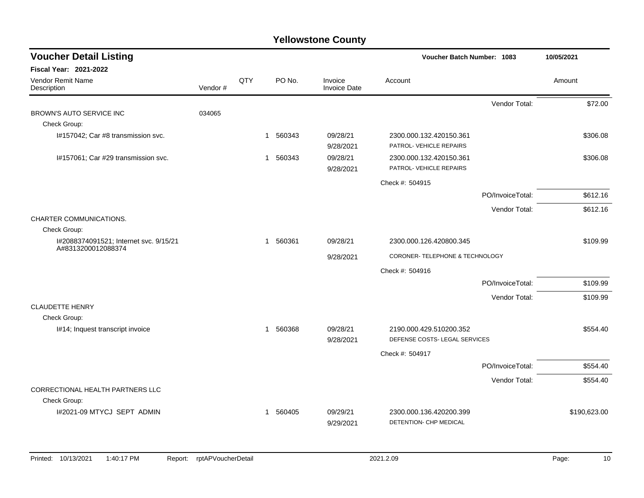| <b>Voucher Detail Listing</b>                                |         |     |                        |                                | Voucher Batch Number: 1083      |                  | 10/05/2021   |
|--------------------------------------------------------------|---------|-----|------------------------|--------------------------------|---------------------------------|------------------|--------------|
| Fiscal Year: 2021-2022                                       |         |     |                        |                                |                                 |                  |              |
| Vendor Remit Name<br>Description                             | Vendor# | QTY | PO No.                 | Invoice<br><b>Invoice Date</b> | Account                         |                  | Amount       |
|                                                              |         |     |                        |                                |                                 | Vendor Total:    | \$72.00      |
| BROWN'S AUTO SERVICE INC                                     | 034065  |     |                        |                                |                                 |                  |              |
| Check Group:                                                 |         |     |                        |                                |                                 |                  |              |
| I#157042; Car #8 transmission svc.                           |         |     | 560343<br>1            | 09/28/21                       | 2300.000.132.420150.361         |                  | \$306.08     |
|                                                              |         |     |                        | 9/28/2021                      | PATROL- VEHICLE REPAIRS         |                  |              |
| I#157061; Car #29 transmission svc.                          |         |     | 1 560343               | 09/28/21                       | 2300.000.132.420150.361         |                  | \$306.08     |
|                                                              |         |     |                        | 9/28/2021                      | PATROL- VEHICLE REPAIRS         |                  |              |
|                                                              |         |     |                        |                                | Check #: 504915                 |                  |              |
|                                                              |         |     |                        |                                |                                 | PO/InvoiceTotal: | \$612.16     |
|                                                              |         |     |                        |                                |                                 | Vendor Total:    | \$612.16     |
| CHARTER COMMUNICATIONS.                                      |         |     |                        |                                |                                 |                  |              |
| Check Group:                                                 |         |     |                        |                                |                                 |                  |              |
| I#2088374091521; Internet svc. 9/15/21<br>A#8313200012088374 |         |     | 560361<br>$\mathbf{1}$ | 09/28/21                       | 2300.000.126.420800.345         |                  | \$109.99     |
|                                                              |         |     |                        | 9/28/2021                      | CORONER- TELEPHONE & TECHNOLOGY |                  |              |
|                                                              |         |     |                        |                                | Check #: 504916                 |                  |              |
|                                                              |         |     |                        |                                |                                 | PO/InvoiceTotal: | \$109.99     |
|                                                              |         |     |                        |                                |                                 | Vendor Total:    | \$109.99     |
| <b>CLAUDETTE HENRY</b>                                       |         |     |                        |                                |                                 |                  |              |
| Check Group:                                                 |         |     |                        |                                |                                 |                  |              |
| I#14; Inquest transcript invoice                             |         |     | 560368<br>$\mathbf{1}$ | 09/28/21                       | 2190.000.429.510200.352         |                  | \$554.40     |
|                                                              |         |     |                        | 9/28/2021                      | DEFENSE COSTS- LEGAL SERVICES   |                  |              |
|                                                              |         |     |                        |                                | Check #: 504917                 |                  |              |
|                                                              |         |     |                        |                                |                                 | PO/InvoiceTotal: | \$554.40     |
|                                                              |         |     |                        |                                |                                 | Vendor Total:    | \$554.40     |
| CORRECTIONAL HEALTH PARTNERS LLC                             |         |     |                        |                                |                                 |                  |              |
| Check Group:                                                 |         |     |                        |                                |                                 |                  |              |
| I#2021-09 MTYCJ SEPT ADMIN                                   |         |     | 560405<br>$\mathbf 1$  | 09/29/21                       | 2300.000.136.420200.399         |                  | \$190,623.00 |
|                                                              |         |     |                        | 9/29/2021                      | DETENTION- CHP MEDICAL          |                  |              |
|                                                              |         |     |                        |                                |                                 |                  |              |
|                                                              |         |     |                        |                                |                                 |                  |              |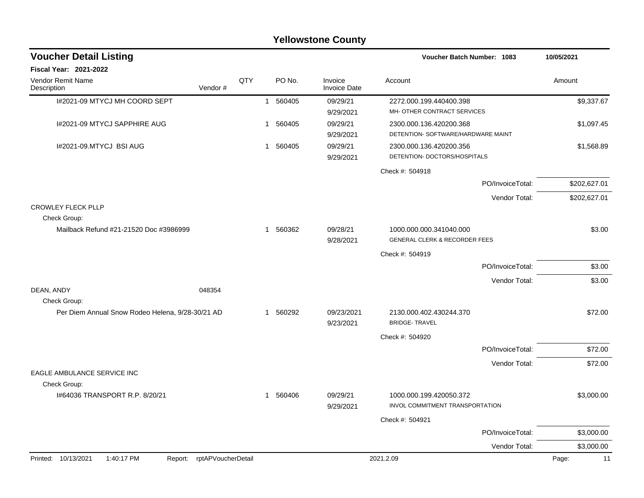|                                                                 |     |              |        | <b>Yellowstone County</b>      |                                                               |                  |              |
|-----------------------------------------------------------------|-----|--------------|--------|--------------------------------|---------------------------------------------------------------|------------------|--------------|
| <b>Voucher Detail Listing</b>                                   |     |              |        |                                | Voucher Batch Number: 1083                                    |                  | 10/05/2021   |
| Fiscal Year: 2021-2022                                          |     |              |        |                                |                                                               |                  |              |
| Vendor Remit Name<br>Vendor#<br>Description                     | QTY |              | PO No. | Invoice<br><b>Invoice Date</b> | Account                                                       |                  | Amount       |
| I#2021-09 MTYCJ MH COORD SEPT                                   |     | $\mathbf{1}$ | 560405 | 09/29/21                       | 2272.000.199.440400.398                                       |                  | \$9,337.67   |
|                                                                 |     |              |        | 9/29/2021                      | MH- OTHER CONTRACT SERVICES                                   |                  |              |
| I#2021-09 MTYCJ SAPPHIRE AUG                                    |     | 1            | 560405 | 09/29/21<br>9/29/2021          | 2300.000.136.420200.368<br>DETENTION- SOFTWARE/HARDWARE MAINT |                  | \$1,097.45   |
| I#2021-09.MTYCJ BSI AUG                                         |     | 1            | 560405 | 09/29/21<br>9/29/2021          | 2300.000.136.420200.356<br>DETENTION- DOCTORS/HOSPITALS       |                  | \$1,568.89   |
|                                                                 |     |              |        |                                | Check #: 504918                                               |                  |              |
|                                                                 |     |              |        |                                |                                                               | PO/InvoiceTotal: | \$202,627.01 |
|                                                                 |     |              |        |                                |                                                               | Vendor Total:    | \$202,627.01 |
| <b>CROWLEY FLECK PLLP</b><br>Check Group:                       |     |              |        |                                |                                                               |                  |              |
| Mailback Refund #21-21520 Doc #3986999                          |     | 1            | 560362 | 09/28/21<br>9/28/2021          | 1000.000.000.341040.000<br>GENERAL CLERK & RECORDER FEES      |                  | \$3.00       |
|                                                                 |     |              |        |                                | Check #: 504919                                               |                  |              |
|                                                                 |     |              |        |                                |                                                               | PO/InvoiceTotal: | \$3.00       |
|                                                                 |     |              |        |                                |                                                               | Vendor Total:    | \$3.00       |
| DEAN, ANDY<br>048354<br>Check Group:                            |     |              |        |                                |                                                               |                  |              |
| Per Diem Annual Snow Rodeo Helena, 9/28-30/21 AD                |     | 1            | 560292 | 09/23/2021<br>9/23/2021        | 2130.000.402.430244.370<br><b>BRIDGE-TRAVEL</b>               |                  | \$72.00      |
|                                                                 |     |              |        |                                | Check #: 504920                                               |                  |              |
|                                                                 |     |              |        |                                |                                                               | PO/InvoiceTotal: | \$72.00      |
|                                                                 |     |              |        |                                |                                                               | Vendor Total:    | \$72.00      |
| EAGLE AMBULANCE SERVICE INC<br>Check Group:                     |     |              |        |                                |                                                               |                  |              |
| 1#64036 TRANSPORT R.P. 8/20/21                                  |     | 1            | 560406 | 09/29/21<br>9/29/2021          | 1000.000.199.420050.372<br>INVOL COMMITMENT TRANSPORTATION    |                  | \$3,000.00   |
|                                                                 |     |              |        |                                | Check #: 504921                                               |                  |              |
|                                                                 |     |              |        |                                |                                                               | PO/InvoiceTotal: | \$3,000.00   |
|                                                                 |     |              |        |                                |                                                               | Vendor Total:    | \$3,000.00   |
| Printed: 10/13/2021<br>1:40:17 PM<br>Report: rptAPVoucherDetail |     |              |        |                                | 2021.2.09                                                     |                  | 11<br>Page:  |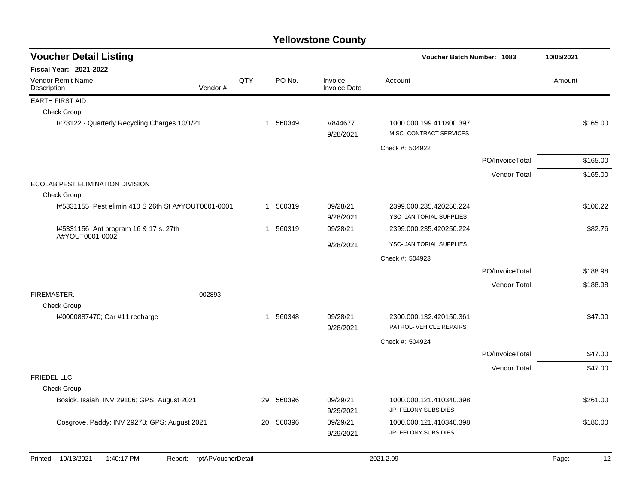| <b>Voucher Detail Listing</b>                       |                    |            |                        |                                |                                                     | <b>Voucher Batch Number: 1083</b><br>10/05/2021 |        |          |  |  |
|-----------------------------------------------------|--------------------|------------|------------------------|--------------------------------|-----------------------------------------------------|-------------------------------------------------|--------|----------|--|--|
| <b>Fiscal Year: 2021-2022</b>                       |                    |            |                        |                                |                                                     |                                                 |        |          |  |  |
| <b>Vendor Remit Name</b><br>Description             | Vendor#            | <b>QTY</b> | PO No.                 | Invoice<br><b>Invoice Date</b> | Account                                             |                                                 | Amount |          |  |  |
| <b>EARTH FIRST AID</b>                              |                    |            |                        |                                |                                                     |                                                 |        |          |  |  |
| Check Group:                                        |                    |            |                        |                                |                                                     |                                                 |        |          |  |  |
| I#73122 - Quarterly Recycling Charges 10/1/21       |                    |            | 1 560349               | V844677<br>9/28/2021           | 1000.000.199.411800.397<br>MISC- CONTRACT SERVICES  |                                                 |        | \$165.00 |  |  |
|                                                     |                    |            |                        |                                | Check #: 504922                                     |                                                 |        |          |  |  |
|                                                     |                    |            |                        |                                |                                                     | PO/InvoiceTotal:                                |        | \$165.00 |  |  |
|                                                     |                    |            |                        |                                |                                                     | Vendor Total:                                   |        | \$165.00 |  |  |
| ECOLAB PEST ELIMINATION DIVISION                    |                    |            |                        |                                |                                                     |                                                 |        |          |  |  |
| Check Group:                                        |                    |            |                        |                                |                                                     |                                                 |        |          |  |  |
| I#5331155 Pest elimin 410 S 26th St A#YOUT0001-0001 |                    |            | 1 560319               | 09/28/21<br>9/28/2021          | 2399.000.235.420250.224<br>YSC- JANITORIAL SUPPLIES |                                                 |        | \$106.22 |  |  |
| I#5331156 Ant program 16 & 17 s. 27th               |                    |            | 560319<br>$\mathbf{1}$ | 09/28/21                       | 2399.000.235.420250.224                             |                                                 |        | \$82.76  |  |  |
| A#YOUT0001-0002                                     |                    |            |                        | 9/28/2021                      | YSC- JANITORIAL SUPPLIES                            |                                                 |        |          |  |  |
|                                                     |                    |            |                        |                                | Check #: 504923                                     |                                                 |        |          |  |  |
|                                                     |                    |            |                        |                                |                                                     | PO/InvoiceTotal:                                |        | \$188.98 |  |  |
|                                                     |                    |            |                        |                                |                                                     | Vendor Total:                                   |        | \$188.98 |  |  |
| FIREMASTER.                                         | 002893             |            |                        |                                |                                                     |                                                 |        |          |  |  |
| Check Group:                                        |                    |            |                        |                                |                                                     |                                                 |        |          |  |  |
| I#0000887470; Car #11 recharge                      |                    |            | 1 560348               | 09/28/21                       | 2300.000.132.420150.361                             |                                                 |        | \$47.00  |  |  |
|                                                     |                    |            |                        | 9/28/2021                      | PATROL- VEHICLE REPAIRS                             |                                                 |        |          |  |  |
|                                                     |                    |            |                        |                                | Check #: 504924                                     |                                                 |        |          |  |  |
|                                                     |                    |            |                        |                                |                                                     | PO/InvoiceTotal:                                |        | \$47.00  |  |  |
|                                                     |                    |            |                        |                                |                                                     | Vendor Total:                                   |        | \$47.00  |  |  |
| <b>FRIEDEL LLC</b>                                  |                    |            |                        |                                |                                                     |                                                 |        |          |  |  |
| Check Group:                                        |                    |            |                        |                                |                                                     |                                                 |        |          |  |  |
| Bosick, Isaiah; INV 29106; GPS; August 2021         |                    | 29         | 560396                 | 09/29/21<br>9/29/2021          | 1000.000.121.410340.398<br>JP- FELONY SUBSIDIES     |                                                 |        | \$261.00 |  |  |
|                                                     |                    |            |                        |                                |                                                     |                                                 |        |          |  |  |
| Cosgrove, Paddy; INV 29278; GPS; August 2021        |                    | 20         | 560396                 | 09/29/21<br>9/29/2021          | 1000.000.121.410340.398<br>JP- FELONY SUBSIDIES     |                                                 |        | \$180.00 |  |  |
|                                                     |                    |            |                        |                                |                                                     |                                                 |        |          |  |  |
| Printed: 10/13/2021<br>1:40:17 PM<br>Report:        | rptAPVoucherDetail |            |                        |                                | 2021.2.09                                           |                                                 | Page:  | 12       |  |  |
|                                                     |                    |            |                        |                                |                                                     |                                                 |        |          |  |  |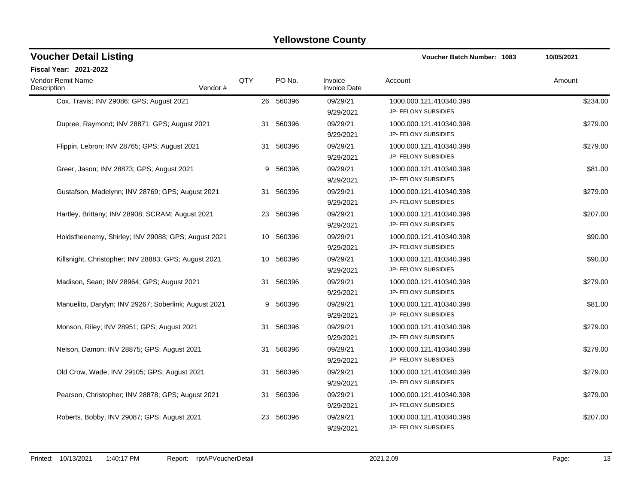| <b>Voucher Detail Listing</b>                         |         |     | Voucher Batch Number: 1083 | 10/05/2021                     |                                                        |          |
|-------------------------------------------------------|---------|-----|----------------------------|--------------------------------|--------------------------------------------------------|----------|
| <b>Fiscal Year: 2021-2022</b>                         |         |     |                            |                                |                                                        |          |
| Vendor Remit Name<br>Description                      | Vendor# | QTY | PO No.                     | Invoice<br><b>Invoice Date</b> | Account                                                | Amount   |
| Cox, Travis; INV 29086; GPS; August 2021              |         |     | 26 560396                  | 09/29/21<br>9/29/2021          | 1000.000.121.410340.398<br>JP- FELONY SUBSIDIES        | \$234.00 |
| Dupree, Raymond; INV 28871; GPS; August 2021          |         |     | 31 560396                  | 09/29/21<br>9/29/2021          | 1000.000.121.410340.398<br>JP- FELONY SUBSIDIES        | \$279.00 |
| Flippin, Lebron; INV 28765; GPS; August 2021          |         | 31  | 560396                     | 09/29/21<br>9/29/2021          | 1000.000.121.410340.398<br>JP- FELONY SUBSIDIES        | \$279.00 |
| Greer, Jason; INV 28873; GPS; August 2021             |         | 9   | 560396                     | 09/29/21<br>9/29/2021          | 1000.000.121.410340.398<br>JP- FELONY SUBSIDIES        | \$81.00  |
| Gustafson, Madelynn; INV 28769; GPS; August 2021      |         | 31  | 560396                     | 09/29/21<br>9/29/2021          | 1000.000.121.410340.398<br>JP- FELONY SUBSIDIES        | \$279.00 |
| Hartley, Brittany; INV 28908; SCRAM; August 2021      |         | 23  | 560396                     | 09/29/21<br>9/29/2021          | 1000.000.121.410340.398<br>JP- FELONY SUBSIDIES        | \$207.00 |
| Holdstheenemy, Shirley; INV 29088; GPS; August 2021   |         | 10  | 560396                     | 09/29/21<br>9/29/2021          | 1000.000.121.410340.398<br>JP- FELONY SUBSIDIES        | \$90.00  |
| Killsnight, Christopher; INV 28883; GPS; August 2021  |         | 10  | 560396                     | 09/29/21<br>9/29/2021          | 1000.000.121.410340.398<br>JP- FELONY SUBSIDIES        | \$90.00  |
| Madison, Sean; INV 28964; GPS; August 2021            |         | 31  | 560396                     | 09/29/21<br>9/29/2021          | 1000.000.121.410340.398<br>JP- FELONY SUBSIDIES        | \$279.00 |
| Manuelito, Darylyn; INV 29267; Soberlink; August 2021 |         | 9   | 560396                     | 09/29/21<br>9/29/2021          | 1000.000.121.410340.398<br>JP- FELONY SUBSIDIES        | \$81.00  |
| Monson, Riley; INV 28951; GPS; August 2021            |         | 31  | 560396                     | 09/29/21<br>9/29/2021          | 1000.000.121.410340.398<br>JP- FELONY SUBSIDIES        | \$279.00 |
| Nelson, Damon; INV 28875; GPS; August 2021            |         | 31  | 560396                     | 09/29/21<br>9/29/2021          | 1000.000.121.410340.398<br>JP- FELONY SUBSIDIES        | \$279.00 |
| Old Crow, Wade; INV 29105; GPS; August 2021           |         | 31  | 560396                     | 09/29/21<br>9/29/2021          | 1000.000.121.410340.398<br>JP- FELONY SUBSIDIES        | \$279.00 |
| Pearson, Christopher; INV 28878; GPS; August 2021     |         | 31  | 560396                     | 09/29/21<br>9/29/2021          | 1000.000.121.410340.398<br>JP- FELONY SUBSIDIES        | \$279.00 |
| Roberts, Bobby; INV 29087; GPS; August 2021           |         | 23  | 560396                     | 09/29/21<br>9/29/2021          | 1000.000.121.410340.398<br><b>JP- FELONY SUBSIDIES</b> | \$207.00 |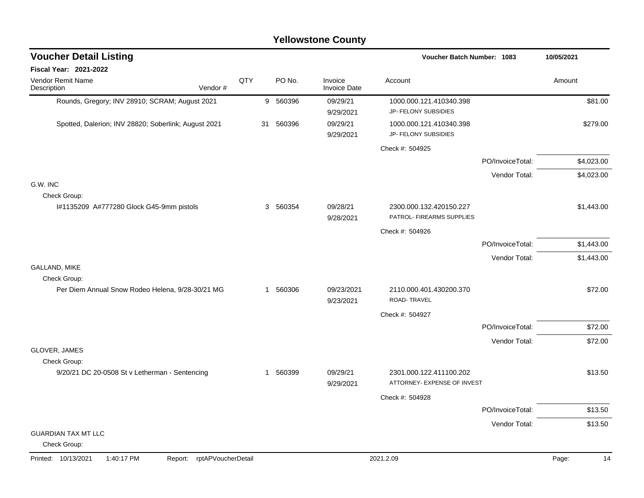|                                                                 | <b>Yellowstone County</b> |          |                                |                                                        |                  |             |  |  |  |  |  |  |
|-----------------------------------------------------------------|---------------------------|----------|--------------------------------|--------------------------------------------------------|------------------|-------------|--|--|--|--|--|--|
| <b>Voucher Detail Listing</b>                                   |                           |          |                                | Voucher Batch Number: 1083                             |                  | 10/05/2021  |  |  |  |  |  |  |
| Fiscal Year: 2021-2022                                          |                           |          |                                |                                                        |                  |             |  |  |  |  |  |  |
| Vendor Remit Name<br>Description<br>Vendor#                     | QTY                       | PO No.   | Invoice<br><b>Invoice Date</b> | Account                                                |                  | Amount      |  |  |  |  |  |  |
| Rounds, Gregory; INV 28910; SCRAM; August 2021                  |                           | 9 560396 | 09/29/21<br>9/29/2021          | 1000.000.121.410340.398<br>JP- FELONY SUBSIDIES        |                  | \$81.00     |  |  |  |  |  |  |
| Spotted, Dalerion; INV 28820; Soberlink; August 2021            | 31                        | 560396   | 09/29/21<br>9/29/2021          | 1000.000.121.410340.398<br>JP- FELONY SUBSIDIES        |                  | \$279.00    |  |  |  |  |  |  |
|                                                                 |                           |          |                                | Check #: 504925                                        |                  |             |  |  |  |  |  |  |
|                                                                 |                           |          |                                |                                                        | PO/InvoiceTotal: | \$4,023.00  |  |  |  |  |  |  |
|                                                                 |                           |          |                                |                                                        | Vendor Total:    | \$4,023.00  |  |  |  |  |  |  |
| G.W. INC<br>Check Group:                                        |                           |          |                                |                                                        |                  |             |  |  |  |  |  |  |
| I#1135209 A#777280 Glock G45-9mm pistols                        | 3                         | 560354   | 09/28/21<br>9/28/2021          | 2300.000.132.420150.227<br>PATROL- FIREARMS SUPPLIES   |                  | \$1,443.00  |  |  |  |  |  |  |
|                                                                 |                           |          |                                | Check #: 504926                                        |                  |             |  |  |  |  |  |  |
|                                                                 |                           |          |                                |                                                        | PO/InvoiceTotal: | \$1,443.00  |  |  |  |  |  |  |
|                                                                 |                           |          |                                |                                                        | Vendor Total:    | \$1,443.00  |  |  |  |  |  |  |
| GALLAND, MIKE<br>Check Group:                                   |                           |          |                                |                                                        |                  |             |  |  |  |  |  |  |
| Per Diem Annual Snow Rodeo Helena, 9/28-30/21 MG                |                           | 1 560306 | 09/23/2021<br>9/23/2021        | 2110.000.401.430200.370<br>ROAD-TRAVEL                 |                  | \$72.00     |  |  |  |  |  |  |
|                                                                 |                           |          |                                | Check #: 504927                                        |                  |             |  |  |  |  |  |  |
|                                                                 |                           |          |                                |                                                        | PO/InvoiceTotal: | \$72.00     |  |  |  |  |  |  |
|                                                                 |                           |          |                                |                                                        | Vendor Total:    | \$72.00     |  |  |  |  |  |  |
| <b>GLOVER, JAMES</b><br>Check Group:                            |                           |          |                                |                                                        |                  |             |  |  |  |  |  |  |
| 9/20/21 DC 20-0508 St v Letherman - Sentencing                  | 1                         | 560399   | 09/29/21<br>9/29/2021          | 2301.000.122.411100.202<br>ATTORNEY- EXPENSE OF INVEST |                  | \$13.50     |  |  |  |  |  |  |
|                                                                 |                           |          |                                | Check #: 504928                                        |                  |             |  |  |  |  |  |  |
|                                                                 |                           |          |                                |                                                        | PO/InvoiceTotal: | \$13.50     |  |  |  |  |  |  |
|                                                                 |                           |          |                                |                                                        | Vendor Total:    | \$13.50     |  |  |  |  |  |  |
| <b>GUARDIAN TAX MT LLC</b><br>Check Group:                      |                           |          |                                |                                                        |                  |             |  |  |  |  |  |  |
| Printed: 10/13/2021<br>1:40:17 PM<br>Report: rptAPVoucherDetail |                           |          |                                | 2021.2.09                                              |                  | Page:<br>14 |  |  |  |  |  |  |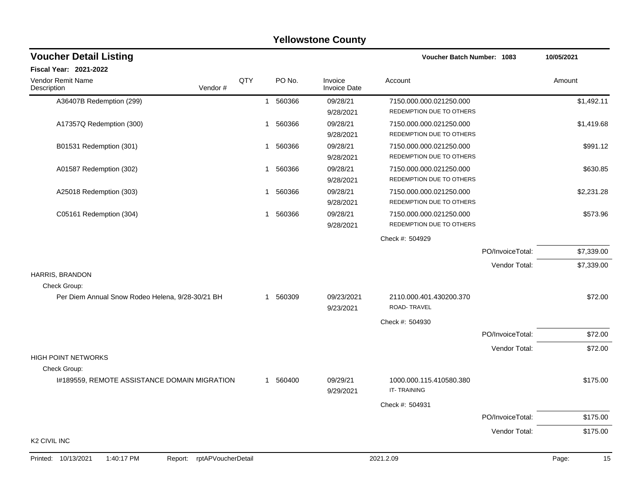|                                                                 |     |             | <b>Yellowstone County</b>      |                                                     |                  |             |
|-----------------------------------------------------------------|-----|-------------|--------------------------------|-----------------------------------------------------|------------------|-------------|
| <b>Voucher Detail Listing</b>                                   |     |             |                                | <b>Voucher Batch Number: 1083</b>                   |                  | 10/05/2021  |
| Fiscal Year: 2021-2022                                          |     |             |                                |                                                     |                  |             |
| Vendor Remit Name<br>Vendor#<br>Description                     | QTY | PO No.      | Invoice<br><b>Invoice Date</b> | Account                                             |                  | Amount      |
| A36407B Redemption (299)                                        |     | 560366<br>1 | 09/28/21                       | 7150.000.000.021250.000                             |                  | \$1,492.11  |
|                                                                 |     |             | 9/28/2021                      | REDEMPTION DUE TO OTHERS                            |                  |             |
| A17357Q Redemption (300)                                        |     | 560366<br>1 | 09/28/21                       | 7150.000.000.021250.000                             |                  | \$1,419.68  |
|                                                                 |     |             | 9/28/2021                      | REDEMPTION DUE TO OTHERS                            |                  |             |
| B01531 Redemption (301)                                         |     | 560366<br>1 | 09/28/21                       | 7150.000.000.021250.000                             |                  | \$991.12    |
|                                                                 |     |             | 9/28/2021                      | REDEMPTION DUE TO OTHERS                            |                  |             |
| A01587 Redemption (302)                                         |     | 560366<br>1 | 09/28/21                       | 7150.000.000.021250.000                             |                  | \$630.85    |
|                                                                 |     |             | 9/28/2021                      | REDEMPTION DUE TO OTHERS                            |                  |             |
| A25018 Redemption (303)                                         |     | 560366<br>1 | 09/28/21                       | 7150.000.000.021250.000                             |                  | \$2,231.28  |
|                                                                 |     |             | 9/28/2021                      | REDEMPTION DUE TO OTHERS                            |                  |             |
| C05161 Redemption (304)                                         |     | 560366<br>1 | 09/28/21<br>9/28/2021          | 7150.000.000.021250.000<br>REDEMPTION DUE TO OTHERS |                  | \$573.96    |
|                                                                 |     |             |                                | Check #: 504929                                     |                  |             |
|                                                                 |     |             |                                |                                                     | PO/InvoiceTotal: | \$7,339.00  |
|                                                                 |     |             |                                |                                                     | Vendor Total:    | \$7,339.00  |
| HARRIS, BRANDON                                                 |     |             |                                |                                                     |                  |             |
| Check Group:                                                    |     |             |                                |                                                     |                  |             |
| Per Diem Annual Snow Rodeo Helena, 9/28-30/21 BH                |     | 560309<br>1 | 09/23/2021<br>9/23/2021        | 2110.000.401.430200.370<br>ROAD-TRAVEL              |                  | \$72.00     |
|                                                                 |     |             |                                | Check #: 504930                                     |                  |             |
|                                                                 |     |             |                                |                                                     | PO/InvoiceTotal: | \$72.00     |
|                                                                 |     |             |                                |                                                     | Vendor Total:    | \$72.00     |
| <b>HIGH POINT NETWORKS</b>                                      |     |             |                                |                                                     |                  |             |
| Check Group:                                                    |     |             |                                |                                                     |                  |             |
| I#189559, REMOTE ASSISTANCE DOMAIN MIGRATION                    |     | 560400<br>1 | 09/29/21<br>9/29/2021          | 1000.000.115.410580.380<br>IT-TRAINING              |                  | \$175.00    |
|                                                                 |     |             |                                | Check #: 504931                                     |                  |             |
|                                                                 |     |             |                                |                                                     | PO/InvoiceTotal: | \$175.00    |
|                                                                 |     |             |                                |                                                     | Vendor Total:    | \$175.00    |
| K <sub>2</sub> CIVIL INC                                        |     |             |                                |                                                     |                  |             |
| Printed: 10/13/2021<br>1:40:17 PM<br>Report: rptAPVoucherDetail |     |             |                                | 2021.2.09                                           |                  | 15<br>Page: |
|                                                                 |     |             |                                |                                                     |                  |             |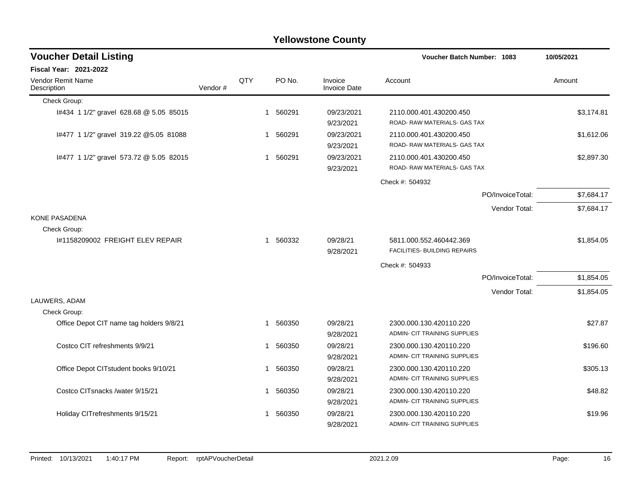| <b>Voucher Detail Listing</b><br>Voucher Batch Number: 1083 |         | 10/05/2021 |             |        |                                |                                                                |            |
|-------------------------------------------------------------|---------|------------|-------------|--------|--------------------------------|----------------------------------------------------------------|------------|
| <b>Fiscal Year: 2021-2022</b>                               |         |            |             |        |                                |                                                                |            |
| Vendor Remit Name<br>Description                            | Vendor# | QTY        |             | PO No. | Invoice<br><b>Invoice Date</b> | Account                                                        | Amount     |
| Check Group:                                                |         |            |             |        |                                |                                                                |            |
| I#434 1 1/2" gravel 628.68 @ 5.05 85015                     |         |            | 1           | 560291 | 09/23/2021<br>9/23/2021        | 2110.000.401.430200.450<br>ROAD-RAW MATERIALS- GAS TAX         | \$3,174.81 |
| I#477 1 1/2" gravel 319.22 @5.05 81088                      |         |            | 1           | 560291 | 09/23/2021<br>9/23/2021        | 2110.000.401.430200.450<br>ROAD- RAW MATERIALS- GAS TAX        | \$1,612.06 |
| I#477 1 1/2" gravel 573.72 @ 5.05 82015                     |         |            | 1           | 560291 | 09/23/2021<br>9/23/2021        | 2110.000.401.430200.450<br>ROAD-RAW MATERIALS- GAS TAX         | \$2,897.30 |
|                                                             |         |            |             |        |                                | Check #: 504932                                                |            |
|                                                             |         |            |             |        |                                | PO/InvoiceTotal:                                               | \$7,684.17 |
|                                                             |         |            |             |        |                                | Vendor Total:                                                  | \$7,684.17 |
| <b>KONE PASADENA</b>                                        |         |            |             |        |                                |                                                                |            |
| Check Group:                                                |         |            |             |        |                                |                                                                |            |
| #1158209002 FREIGHT ELEV REPAIR                             |         |            | $\mathbf 1$ | 560332 | 09/28/21<br>9/28/2021          | 5811.000.552.460442.369<br><b>FACILITIES- BUILDING REPAIRS</b> | \$1,854.05 |
|                                                             |         |            |             |        |                                | Check #: 504933                                                |            |
|                                                             |         |            |             |        |                                | PO/InvoiceTotal:                                               | \$1,854.05 |
|                                                             |         |            |             |        |                                | Vendor Total:                                                  | \$1,854.05 |
| LAUWERS, ADAM                                               |         |            |             |        |                                |                                                                |            |
| Check Group:                                                |         |            |             |        |                                |                                                                |            |
| Office Depot CIT name tag holders 9/8/21                    |         |            | 1           | 560350 | 09/28/21<br>9/28/2021          | 2300.000.130.420110.220<br>ADMIN- CIT TRAINING SUPPLIES        | \$27.87    |
| Costco CIT refreshments 9/9/21                              |         |            | 1           | 560350 | 09/28/21<br>9/28/2021          | 2300.000.130.420110.220<br>ADMIN- CIT TRAINING SUPPLIES        | \$196.60   |
| Office Depot CITstudent books 9/10/21                       |         |            | 1           | 560350 | 09/28/21<br>9/28/2021          | 2300.000.130.420110.220<br>ADMIN- CIT TRAINING SUPPLIES        | \$305.13   |
| Costco CITsnacks /water 9/15/21                             |         |            | 1           | 560350 | 09/28/21<br>9/28/2021          | 2300.000.130.420110.220<br>ADMIN- CIT TRAINING SUPPLIES        | \$48.82    |
| Holiday CITrefreshments 9/15/21                             |         |            | 1           | 560350 | 09/28/21<br>9/28/2021          | 2300.000.130.420110.220<br>ADMIN- CIT TRAINING SUPPLIES        | \$19.96    |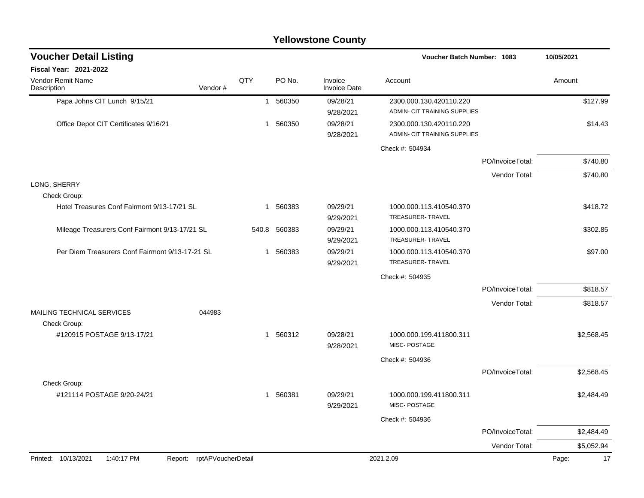| <b>Yellowstone County</b>                                       |              |              |                                |                                                         |                  |             |  |  |  |  |  |
|-----------------------------------------------------------------|--------------|--------------|--------------------------------|---------------------------------------------------------|------------------|-------------|--|--|--|--|--|
| <b>Voucher Detail Listing</b>                                   |              |              |                                | Voucher Batch Number: 1083                              |                  | 10/05/2021  |  |  |  |  |  |
| Fiscal Year: 2021-2022                                          |              |              |                                |                                                         |                  |             |  |  |  |  |  |
| Vendor Remit Name<br>Vendor#<br>Description                     | QTY          | PO No.       | Invoice<br><b>Invoice Date</b> | Account                                                 |                  | Amount      |  |  |  |  |  |
| Papa Johns CIT Lunch 9/15/21                                    | $\mathbf{1}$ | 560350       | 09/28/21<br>9/28/2021          | 2300.000.130.420110.220<br>ADMIN- CIT TRAINING SUPPLIES |                  | \$127.99    |  |  |  |  |  |
| Office Depot CIT Certificates 9/16/21                           | -1           | 560350       | 09/28/21<br>9/28/2021          | 2300.000.130.420110.220<br>ADMIN- CIT TRAINING SUPPLIES |                  | \$14.43     |  |  |  |  |  |
|                                                                 |              |              |                                | Check #: 504934                                         |                  |             |  |  |  |  |  |
|                                                                 |              |              |                                |                                                         | PO/InvoiceTotal: | \$740.80    |  |  |  |  |  |
|                                                                 |              |              |                                |                                                         | Vendor Total:    | \$740.80    |  |  |  |  |  |
| LONG, SHERRY                                                    |              |              |                                |                                                         |                  |             |  |  |  |  |  |
| Check Group:                                                    |              |              |                                |                                                         |                  |             |  |  |  |  |  |
| Hotel Treasures Conf Fairmont 9/13-17/21 SL                     | -1           | 560383       | 09/29/21<br>9/29/2021          | 1000.000.113.410540.370<br>TREASURER-TRAVEL             |                  | \$418.72    |  |  |  |  |  |
| Mileage Treasurers Conf Fairmont 9/13-17/21 SL                  |              | 540.8 560383 | 09/29/21<br>9/29/2021          | 1000.000.113.410540.370<br>TREASURER- TRAVEL            |                  | \$302.85    |  |  |  |  |  |
| Per Diem Treasurers Conf Fairmont 9/13-17-21 SL                 | 1            | 560383       | 09/29/21<br>9/29/2021          | 1000.000.113.410540.370<br><b>TREASURER-TRAVEL</b>      |                  | \$97.00     |  |  |  |  |  |
|                                                                 |              |              |                                | Check #: 504935                                         |                  |             |  |  |  |  |  |
|                                                                 |              |              |                                |                                                         | PO/InvoiceTotal: | \$818.57    |  |  |  |  |  |
|                                                                 |              |              |                                |                                                         | Vendor Total:    | \$818.57    |  |  |  |  |  |
| MAILING TECHNICAL SERVICES<br>044983<br>Check Group:            |              |              |                                |                                                         |                  |             |  |  |  |  |  |
| #120915 POSTAGE 9/13-17/21                                      | $\mathbf{1}$ | 560312       | 09/28/21<br>9/28/2021          | 1000.000.199.411800.311<br>MISC-POSTAGE                 |                  | \$2,568.45  |  |  |  |  |  |
|                                                                 |              |              |                                | Check #: 504936                                         |                  |             |  |  |  |  |  |
|                                                                 |              |              |                                |                                                         | PO/InvoiceTotal: | \$2,568.45  |  |  |  |  |  |
| Check Group:                                                    |              |              |                                |                                                         |                  |             |  |  |  |  |  |
| #121114 POSTAGE 9/20-24/21                                      |              | 1 560381     | 09/29/21<br>9/29/2021          | 1000.000.199.411800.311<br>MISC-POSTAGE                 |                  | \$2,484.49  |  |  |  |  |  |
|                                                                 |              |              |                                | Check #: 504936                                         |                  |             |  |  |  |  |  |
|                                                                 |              |              |                                |                                                         | PO/InvoiceTotal: | \$2,484.49  |  |  |  |  |  |
|                                                                 |              |              |                                |                                                         | Vendor Total:    | \$5,052.94  |  |  |  |  |  |
| Printed: 10/13/2021<br>1:40:17 PM<br>Report: rptAPVoucherDetail |              |              |                                | 2021.2.09                                               |                  | 17<br>Page: |  |  |  |  |  |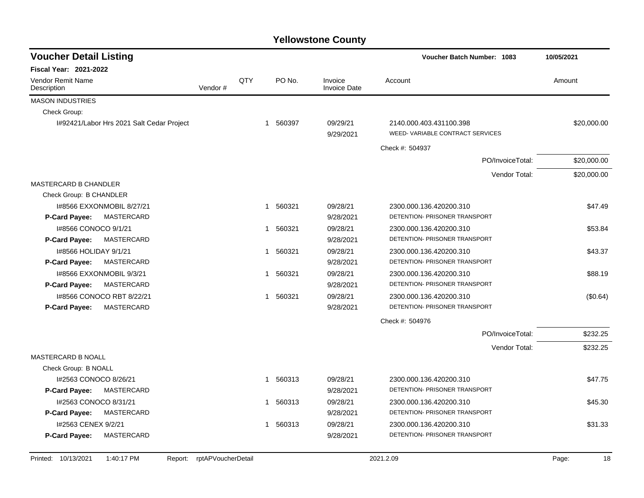| <b>Voucher Detail Listing</b>             |         |             |                        |                                | <b>Voucher Batch Number: 1083</b>                          | 10/05/2021  |  |
|-------------------------------------------|---------|-------------|------------------------|--------------------------------|------------------------------------------------------------|-------------|--|
| <b>Fiscal Year: 2021-2022</b>             |         |             |                        |                                |                                                            |             |  |
| Vendor Remit Name<br>Description          | Vendor# | QTY         | PO No.                 | Invoice<br><b>Invoice Date</b> | Account                                                    | Amount      |  |
| <b>MASON INDUSTRIES</b>                   |         |             |                        |                                |                                                            |             |  |
| Check Group:                              |         |             |                        |                                |                                                            |             |  |
| I#92421/Labor Hrs 2021 Salt Cedar Project |         |             | 1 560397               | 09/29/21<br>9/29/2021          | 2140.000.403.431100.398<br>WEED-VARIABLE CONTRACT SERVICES | \$20,000.00 |  |
|                                           |         |             |                        |                                | Check #: 504937                                            |             |  |
|                                           |         |             |                        |                                | PO/InvoiceTotal:                                           | \$20,000.00 |  |
|                                           |         |             |                        |                                | Vendor Total:                                              | \$20,000.00 |  |
| MASTERCARD B CHANDLER                     |         |             |                        |                                |                                                            |             |  |
| Check Group: B CHANDLER                   |         |             |                        |                                |                                                            |             |  |
| 1#8566 EXXONMOBIL 8/27/21                 |         | $\mathbf 1$ | 560321                 | 09/28/21                       | 2300.000.136.420200.310                                    | \$47.49     |  |
| MASTERCARD<br>P-Card Payee:               |         |             |                        | 9/28/2021                      | DETENTION- PRISONER TRANSPORT                              |             |  |
| I#8566 CONOCO 9/1/21                      |         | $\mathbf 1$ | 560321                 | 09/28/21                       | 2300.000.136.420200.310                                    | \$53.84     |  |
| <b>P-Card Payee:</b><br><b>MASTERCARD</b> |         |             |                        | 9/28/2021                      | DETENTION- PRISONER TRANSPORT                              |             |  |
| I#8566 HOLIDAY 9/1/21                     |         |             | 1 560321               | 09/28/21                       | 2300.000.136.420200.310                                    | \$43.37     |  |
| MASTERCARD<br>P-Card Payee:               |         |             |                        | 9/28/2021                      | DETENTION- PRISONER TRANSPORT                              |             |  |
| 1#8566 EXXONMOBIL 9/3/21                  |         | $\mathbf 1$ | 560321                 | 09/28/21                       | 2300.000.136.420200.310                                    | \$88.19     |  |
| P-Card Payee:<br><b>MASTERCARD</b>        |         |             |                        | 9/28/2021                      | DETENTION- PRISONER TRANSPORT                              |             |  |
| 1#8566 CONOCO RBT 8/22/21                 |         |             | 560321<br>$\mathbf{1}$ | 09/28/21                       | 2300.000.136.420200.310                                    | (\$0.64)    |  |
| <b>MASTERCARD</b><br>P-Card Payee:        |         |             |                        | 9/28/2021                      | DETENTION- PRISONER TRANSPORT                              |             |  |
|                                           |         |             |                        |                                | Check #: 504976                                            |             |  |
|                                           |         |             |                        |                                | PO/InvoiceTotal:                                           | \$232.25    |  |
|                                           |         |             |                        |                                | Vendor Total:                                              | \$232.25    |  |
| MASTERCARD B NOALL                        |         |             |                        |                                |                                                            |             |  |
| Check Group: B NOALL                      |         |             |                        |                                |                                                            |             |  |
| I#2563 CONOCO 8/26/21                     |         |             | 560313<br>$\mathbf{1}$ | 09/28/21                       | 2300.000.136.420200.310                                    | \$47.75     |  |
| P-Card Payee:<br>MASTERCARD               |         |             |                        | 9/28/2021                      | DETENTION- PRISONER TRANSPORT                              |             |  |
| I#2563 CONOCO 8/31/21                     |         | 1           | 560313                 | 09/28/21                       | 2300.000.136.420200.310                                    | \$45.30     |  |
| MASTERCARD<br><b>P-Card Payee:</b>        |         |             |                        | 9/28/2021                      | DETENTION- PRISONER TRANSPORT                              |             |  |
| I#2563 CENEX 9/2/21                       |         | 1           | 560313                 | 09/28/21                       | 2300.000.136.420200.310                                    | \$31.33     |  |
| MASTERCARD<br>P-Card Payee:               |         |             |                        | 9/28/2021                      | DETENTION- PRISONER TRANSPORT                              |             |  |
|                                           |         |             |                        |                                |                                                            |             |  |

Printed: 10/13/2021 1:40:17 PM Report: rptAPVoucherDetail 2021.2.09 2021.2.09 Page: 18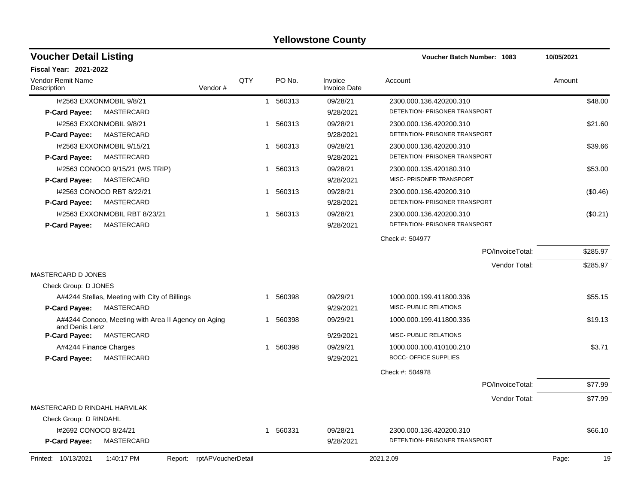| <b>Voucher Detail Listing</b>                                         |     |             |                                | <b>Voucher Batch Number: 1083</b> | 10/05/2021  |
|-----------------------------------------------------------------------|-----|-------------|--------------------------------|-----------------------------------|-------------|
| <b>Fiscal Year: 2021-2022</b>                                         |     |             |                                |                                   |             |
| <b>Vendor Remit Name</b><br>Vendor#<br>Description                    | QTY | PO No.      | Invoice<br><b>Invoice Date</b> | Account                           | Amount      |
| 1#2563 EXXONMOBIL 9/8/21                                              |     | 1 560313    | 09/28/21                       | 2300.000.136.420200.310           | \$48.00     |
| MASTERCARD<br><b>P-Card Payee:</b>                                    |     |             | 9/28/2021                      | DETENTION- PRISONER TRANSPORT     |             |
| I#2563 EXXONMOBIL 9/8/21                                              |     | 1 560313    | 09/28/21                       | 2300.000.136.420200.310           | \$21.60     |
| MASTERCARD<br><b>P-Card Payee:</b>                                    |     |             | 9/28/2021                      | DETENTION- PRISONER TRANSPORT     |             |
| I#2563 EXXONMOBIL 9/15/21                                             |     | 1 560313    | 09/28/21                       | 2300.000.136.420200.310           | \$39.66     |
| MASTERCARD<br>P-Card Payee:                                           |     |             | 9/28/2021                      | DETENTION- PRISONER TRANSPORT     |             |
| I#2563 CONOCO 9/15/21 (WS TRIP)                                       |     | 1 560313    | 09/28/21                       | 2300.000.135.420180.310           | \$53.00     |
| MASTERCARD<br><b>P-Card Payee:</b>                                    |     |             | 9/28/2021                      | MISC- PRISONER TRANSPORT          |             |
| 1#2563 CONOCO RBT 8/22/21                                             |     | 560313<br>1 | 09/28/21                       | 2300.000.136.420200.310           | (\$0.46)    |
| <b>P-Card Payee:</b><br>MASTERCARD                                    |     |             | 9/28/2021                      | DETENTION- PRISONER TRANSPORT     |             |
| 1#2563 EXXONMOBIL RBT 8/23/21                                         |     | 1 560313    | 09/28/21                       | 2300.000.136.420200.310           | (\$0.21)    |
| MASTERCARD<br>P-Card Payee:                                           |     |             | 9/28/2021                      | DETENTION- PRISONER TRANSPORT     |             |
|                                                                       |     |             |                                | Check #: 504977                   |             |
|                                                                       |     |             |                                | PO/InvoiceTotal:                  | \$285.97    |
|                                                                       |     |             |                                | Vendor Total:                     | \$285.97    |
| <b>MASTERCARD D JONES</b>                                             |     |             |                                |                                   |             |
| Check Group: D JONES                                                  |     |             |                                |                                   |             |
| A#4244 Stellas, Meeting with City of Billings                         |     | 1 560398    | 09/29/21                       | 1000.000.199.411800.336           | \$55.15     |
| MASTERCARD<br><b>P-Card Payee:</b>                                    |     |             | 9/29/2021                      | MISC- PUBLIC RELATIONS            |             |
| A#4244 Conoco, Meeting with Area II Agency on Aging<br>and Denis Lenz |     | 1 560398    | 09/29/21                       | 1000.000.199.411800.336           | \$19.13     |
| P-Card Payee:<br>MASTERCARD                                           |     |             | 9/29/2021                      | MISC- PUBLIC RELATIONS            |             |
| A#4244 Finance Charges                                                |     | 560398<br>1 | 09/29/21                       | 1000.000.100.410100.210           | \$3.71      |
| MASTERCARD<br><b>P-Card Payee:</b>                                    |     |             | 9/29/2021                      | <b>BOCC- OFFICE SUPPLIES</b>      |             |
|                                                                       |     |             |                                | Check #: 504978                   |             |
|                                                                       |     |             |                                | PO/InvoiceTotal:                  | \$77.99     |
|                                                                       |     |             |                                | Vendor Total:                     | \$77.99     |
| MASTERCARD D RINDAHL HARVILAK                                         |     |             |                                |                                   |             |
| Check Group: D RINDAHL                                                |     |             |                                |                                   |             |
| I#2692 CONOCO 8/24/21                                                 |     | 1 560331    | 09/28/21                       | 2300.000.136.420200.310           | \$66.10     |
| <b>P-Card Payee:</b><br>MASTERCARD                                    |     |             | 9/28/2021                      | DETENTION- PRISONER TRANSPORT     |             |
| Report: rptAPVoucherDetail<br>Printed: 10/13/2021<br>1:40:17 PM       |     |             |                                | 2021.2.09                         | Page:<br>19 |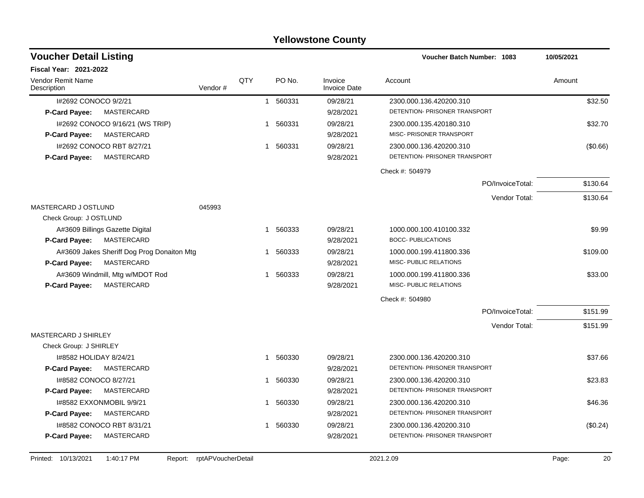| <b>Voucher Detail Listing</b>                                          |         |     |              |        |                                | <b>Voucher Batch Number: 1083</b>                        |                  | 10/05/2021 |
|------------------------------------------------------------------------|---------|-----|--------------|--------|--------------------------------|----------------------------------------------------------|------------------|------------|
| <b>Fiscal Year: 2021-2022</b>                                          |         |     |              |        |                                |                                                          |                  |            |
| Vendor Remit Name<br>Description                                       | Vendor# | QTY |              | PO No. | Invoice<br><b>Invoice Date</b> | Account                                                  |                  | Amount     |
| I#2692 CONOCO 9/2/21                                                   |         |     | $\mathbf{1}$ | 560331 | 09/28/21                       | 2300.000.136.420200.310<br>DETENTION- PRISONER TRANSPORT |                  | \$32.50    |
| P-Card Payee:<br>MASTERCARD                                            |         |     |              |        | 9/28/2021                      |                                                          |                  |            |
| 1#2692 CONOCO 9/16/21 (WS TRIP)                                        |         |     | -1           | 560331 | 09/28/21                       | 2300.000.135.420180.310<br>MISC- PRISONER TRANSPORT      |                  | \$32.70    |
| MASTERCARD<br>P-Card Payee:                                            |         |     |              |        | 9/28/2021                      |                                                          |                  |            |
| I#2692 CONOCO RBT 8/27/21<br><b>MASTERCARD</b><br><b>P-Card Payee:</b> |         |     | $\mathbf{1}$ | 560331 | 09/28/21<br>9/28/2021          | 2300.000.136.420200.310<br>DETENTION- PRISONER TRANSPORT |                  | (\$0.66)   |
|                                                                        |         |     |              |        |                                | Check #: 504979                                          |                  |            |
|                                                                        |         |     |              |        |                                |                                                          | PO/InvoiceTotal: | \$130.64   |
|                                                                        |         |     |              |        |                                |                                                          | Vendor Total:    | \$130.64   |
| MASTERCARD J OSTLUND                                                   | 045993  |     |              |        |                                |                                                          |                  |            |
| Check Group: J OSTLUND                                                 |         |     |              |        |                                |                                                          |                  |            |
| A#3609 Billings Gazette Digital                                        |         |     | -1           | 560333 | 09/28/21                       | 1000.000.100.410100.332                                  |                  | \$9.99     |
| P-Card Payee:<br>MASTERCARD                                            |         |     |              |        | 9/28/2021                      | <b>BOCC- PUBLICATIONS</b>                                |                  |            |
| A#3609 Jakes Sheriff Dog Prog Donaiton Mtg                             |         |     | 1            | 560333 | 09/28/21                       | 1000.000.199.411800.336                                  |                  | \$109.00   |
| MASTERCARD<br><b>P-Card Payee:</b>                                     |         |     |              |        | 9/28/2021                      | MISC- PUBLIC RELATIONS                                   |                  |            |
| A#3609 Windmill, Mtg w/MDOT Rod<br><b>MASTERCARD</b><br>P-Card Payee:  |         |     | -1           | 560333 | 09/28/21<br>9/28/2021          | 1000.000.199.411800.336<br>MISC- PUBLIC RELATIONS        |                  | \$33.00    |
|                                                                        |         |     |              |        |                                |                                                          |                  |            |
|                                                                        |         |     |              |        |                                | Check #: 504980                                          | PO/InvoiceTotal: | \$151.99   |
|                                                                        |         |     |              |        |                                |                                                          | Vendor Total:    |            |
| MASTERCARD J SHIRLEY                                                   |         |     |              |        |                                |                                                          |                  | \$151.99   |
| Check Group: J SHIRLEY                                                 |         |     |              |        |                                |                                                          |                  |            |
| I#8582 HOLIDAY 8/24/21                                                 |         |     | $\mathbf{1}$ | 560330 | 09/28/21                       | 2300.000.136.420200.310                                  |                  | \$37.66    |
| MASTERCARD<br><b>P-Card Payee:</b>                                     |         |     |              |        | 9/28/2021                      | DETENTION- PRISONER TRANSPORT                            |                  |            |
| 1#8582 CONOCO 8/27/21                                                  |         |     |              | 560330 | 09/28/21                       | 2300.000.136.420200.310                                  |                  | \$23.83    |
| P-Card Payee:<br>MASTERCARD                                            |         |     |              |        | 9/28/2021                      | DETENTION- PRISONER TRANSPORT                            |                  |            |
| 1#8582 EXXONMOBIL 9/9/21                                               |         |     | -1           | 560330 | 09/28/21                       | 2300.000.136.420200.310                                  |                  | \$46.36    |
| P-Card Payee:<br>MASTERCARD                                            |         |     |              |        | 9/28/2021                      | DETENTION- PRISONER TRANSPORT                            |                  |            |
| I#8582 CONOCO RBT 8/31/21                                              |         |     | $\mathbf 1$  | 560330 | 09/28/21                       | 2300.000.136.420200.310                                  |                  | (\$0.24)   |
| MASTERCARD<br><b>P-Card Payee:</b>                                     |         |     |              |        | 9/28/2021                      | DETENTION- PRISONER TRANSPORT                            |                  |            |
|                                                                        |         |     |              |        |                                |                                                          |                  |            |

Printed: 10/13/2021 1:40:17 PM Report: rptAPVoucherDetail 2021.2.09 2021.2.09 Page: 20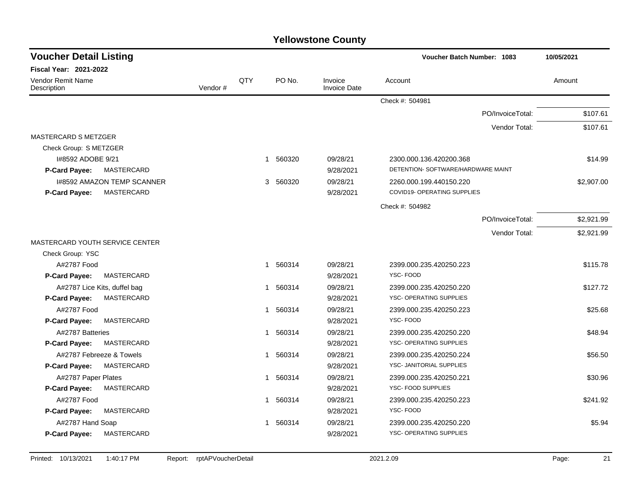| <b>Voucher Detail Listing</b>             |         |     |                        | Voucher Batch Number: 1083     |                                    | 10/05/2021                     |
|-------------------------------------------|---------|-----|------------------------|--------------------------------|------------------------------------|--------------------------------|
| Fiscal Year: 2021-2022                    |         |     |                        |                                |                                    |                                |
| Vendor Remit Name<br>Description          | Vendor# | QTY | PO No.                 | Invoice<br><b>Invoice Date</b> | Account                            | Amount                         |
|                                           |         |     |                        |                                | Check #: 504981                    |                                |
|                                           |         |     |                        |                                |                                    | PO/InvoiceTotal:<br>\$107.61   |
|                                           |         |     |                        |                                |                                    | Vendor Total:<br>\$107.61      |
| <b>MASTERCARD S METZGER</b>               |         |     |                        |                                |                                    |                                |
| Check Group: S METZGER                    |         |     |                        |                                |                                    |                                |
| I#8592 ADOBE 9/21                         |         |     | 1 560320               | 09/28/21                       | 2300.000.136.420200.368            | \$14.99                        |
| P-Card Payee:<br>MASTERCARD               |         |     |                        | 9/28/2021                      | DETENTION- SOFTWARE/HARDWARE MAINT |                                |
| <b>I#8592 AMAZON TEMP SCANNER</b>         |         |     | 560320<br>3            | 09/28/21                       | 2260.000.199.440150.220            | \$2,907.00                     |
| <b>MASTERCARD</b><br>P-Card Payee:        |         |     |                        | 9/28/2021                      | COVID19- OPERATING SUPPLIES        |                                |
|                                           |         |     |                        |                                | Check #: 504982                    |                                |
|                                           |         |     |                        |                                |                                    | PO/InvoiceTotal:<br>\$2,921.99 |
|                                           |         |     |                        |                                |                                    | Vendor Total:<br>\$2,921.99    |
| MASTERCARD YOUTH SERVICE CENTER           |         |     |                        |                                |                                    |                                |
| Check Group: YSC                          |         |     |                        |                                |                                    |                                |
| A#2787 Food                               |         |     | 1 560314               | 09/28/21                       | 2399.000.235.420250.223            | \$115.78                       |
| <b>MASTERCARD</b><br><b>P-Card Payee:</b> |         |     |                        | 9/28/2021                      | YSC-FOOD                           |                                |
| A#2787 Lice Kits, duffel bag              |         |     | 1 560314               | 09/28/21                       | 2399.000.235.420250.220            | \$127.72                       |
| MASTERCARD<br>P-Card Payee:               |         |     |                        | 9/28/2021                      | YSC- OPERATING SUPPLIES            |                                |
| A#2787 Food                               |         |     | 560314<br>$\mathbf{1}$ | 09/28/21                       | 2399.000.235.420250.223            | \$25.68                        |
| <b>MASTERCARD</b><br>P-Card Payee:        |         |     |                        | 9/28/2021                      | YSC-FOOD                           |                                |
| A#2787 Batteries                          |         |     | 1 560314               | 09/28/21                       | 2399.000.235.420250.220            | \$48.94                        |
| P-Card Payee:<br>MASTERCARD               |         |     |                        | 9/28/2021                      | YSC- OPERATING SUPPLIES            |                                |
| A#2787 Febreeze & Towels                  |         |     | 1 560314               | 09/28/21                       | 2399.000.235.420250.224            | \$56.50                        |
| P-Card Payee:<br>MASTERCARD               |         |     |                        | 9/28/2021                      | YSC- JANITORIAL SUPPLIES           |                                |
| A#2787 Paper Plates                       |         |     | 1 560314               | 09/28/21                       | 2399.000.235.420250.221            | \$30.96                        |
| <b>P-Card Payee:</b><br>MASTERCARD        |         |     |                        | 9/28/2021                      | YSC- FOOD SUPPLIES                 |                                |
| A#2787 Food                               |         |     | 1 560314               | 09/28/21                       | 2399.000.235.420250.223            | \$241.92                       |
| <b>MASTERCARD</b><br>P-Card Payee:        |         |     |                        | 9/28/2021                      | YSC-FOOD                           |                                |
| A#2787 Hand Soap                          |         |     | 1 560314               | 09/28/21                       | 2399.000.235.420250.220            | \$5.94                         |
| <b>MASTERCARD</b><br><b>P-Card Payee:</b> |         |     |                        | 9/28/2021                      | YSC- OPERATING SUPPLIES            |                                |
|                                           |         |     |                        |                                |                                    |                                |

Printed: 10/13/2021 1:40:17 PM Report: rptAPVoucherDetail 2021.2.09 2021.2.09 Page: 21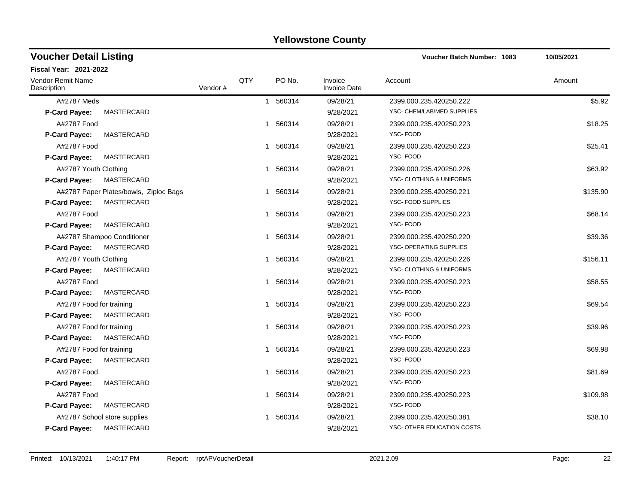| <b>Voucher Detail Listing</b>             |         |     |                        |                                | <b>Voucher Batch Number: 1083</b> | 10/05/2021 |
|-------------------------------------------|---------|-----|------------------------|--------------------------------|-----------------------------------|------------|
| <b>Fiscal Year: 2021-2022</b>             |         |     |                        |                                |                                   |            |
| Vendor Remit Name<br>Description          | Vendor# | QTY | PO No.                 | Invoice<br><b>Invoice Date</b> | Account                           | Amount     |
| A#2787 Meds                               |         |     | 560314<br>$\mathbf{1}$ | 09/28/21                       | 2399.000.235.420250.222           | \$5.92     |
| MASTERCARD<br><b>P-Card Payee:</b>        |         |     |                        | 9/28/2021                      | YSC- CHEM/LAB/MED SUPPLIES        |            |
| A#2787 Food                               |         |     | 1 560314               | 09/28/21                       | 2399.000.235.420250.223           | \$18.25    |
| <b>MASTERCARD</b><br>P-Card Payee:        |         |     |                        | 9/28/2021                      | YSC-FOOD                          |            |
| A#2787 Food                               |         |     | 560314<br>$\mathbf{1}$ | 09/28/21                       | 2399.000.235.420250.223           | \$25.41    |
| <b>MASTERCARD</b><br><b>P-Card Payee:</b> |         |     |                        | 9/28/2021                      | <b>YSC-FOOD</b>                   |            |
| A#2787 Youth Clothing                     |         |     | 560314<br>1            | 09/28/21                       | 2399.000.235.420250.226           | \$63.92    |
| MASTERCARD<br><b>P-Card Payee:</b>        |         |     |                        | 9/28/2021                      | YSC- CLOTHING & UNIFORMS          |            |
| A#2787 Paper Plates/bowls, Ziploc Bags    |         |     | 560314<br>1            | 09/28/21                       | 2399.000.235.420250.221           | \$135.90   |
| MASTERCARD<br><b>P-Card Payee:</b>        |         |     |                        | 9/28/2021                      | YSC- FOOD SUPPLIES                |            |
| A#2787 Food                               |         |     | 560314<br>1            | 09/28/21                       | 2399.000.235.420250.223           | \$68.14    |
| MASTERCARD<br>P-Card Payee:               |         |     |                        | 9/28/2021                      | YSC-FOOD                          |            |
| A#2787 Shampoo Conditioner                |         |     | 1 560314               | 09/28/21                       | 2399.000.235.420250.220           | \$39.36    |
| <b>MASTERCARD</b><br><b>P-Card Payee:</b> |         |     |                        | 9/28/2021                      | YSC- OPERATING SUPPLIES           |            |
| A#2787 Youth Clothing                     |         |     | 1 560314               | 09/28/21                       | 2399.000.235.420250.226           | \$156.11   |
| MASTERCARD<br><b>P-Card Payee:</b>        |         |     |                        | 9/28/2021                      | YSC- CLOTHING & UNIFORMS          |            |
| A#2787 Food                               |         |     | 560314<br>1            | 09/28/21                       | 2399.000.235.420250.223           | \$58.55    |
| MASTERCARD<br><b>P-Card Payee:</b>        |         |     |                        | 9/28/2021                      | <b>YSC-FOOD</b>                   |            |
| A#2787 Food for training                  |         |     | 560314<br>1            | 09/28/21                       | 2399.000.235.420250.223           | \$69.54    |
| MASTERCARD<br>P-Card Payee:               |         |     |                        | 9/28/2021                      | YSC-FOOD                          |            |
| A#2787 Food for training                  |         |     | 560314<br>1            | 09/28/21                       | 2399.000.235.420250.223           | \$39.96    |
| MASTERCARD<br>P-Card Payee:               |         |     |                        | 9/28/2021                      | YSC-FOOD                          |            |
| A#2787 Food for training                  |         |     | 1 560314               | 09/28/21                       | 2399.000.235.420250.223           | \$69.98    |
| MASTERCARD<br><b>P-Card Payee:</b>        |         |     |                        | 9/28/2021                      | YSC-FOOD                          |            |
| A#2787 Food                               |         |     | 560314<br>$\mathbf 1$  | 09/28/21                       | 2399.000.235.420250.223           | \$81.69    |
| MASTERCARD<br><b>P-Card Payee:</b>        |         |     |                        | 9/28/2021                      | <b>YSC-FOOD</b>                   |            |
| A#2787 Food                               |         |     | 1 560314               | 09/28/21                       | 2399.000.235.420250.223           | \$109.98   |
| <b>MASTERCARD</b><br>P-Card Payee:        |         |     |                        | 9/28/2021                      | YSC-FOOD                          |            |
| A#2787 School store supplies              |         |     | 560314<br>1            | 09/28/21                       | 2399.000.235.420250.381           | \$38.10    |
| <b>MASTERCARD</b><br><b>P-Card Payee:</b> |         |     |                        | 9/28/2021                      | YSC- OTHER EDUCATION COSTS        |            |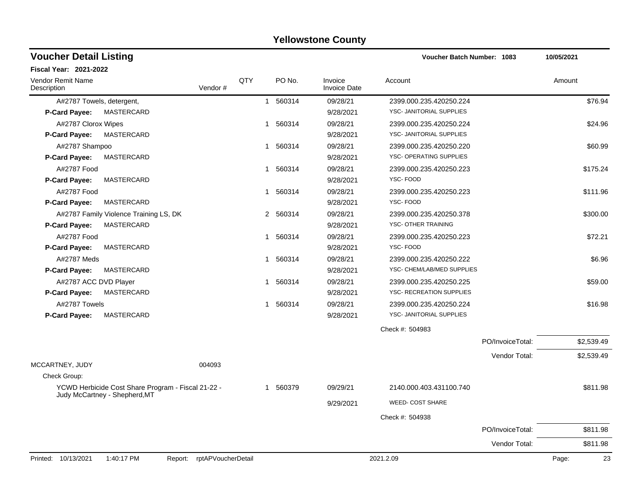| <b>Voucher Detail Listing</b>    |                                                    |                    |     |                        |                                | Voucher Batch Number: 1083 |                  | 10/05/2021 |            |
|----------------------------------|----------------------------------------------------|--------------------|-----|------------------------|--------------------------------|----------------------------|------------------|------------|------------|
| <b>Fiscal Year: 2021-2022</b>    |                                                    |                    |     |                        |                                |                            |                  |            |            |
| Vendor Remit Name<br>Description |                                                    | Vendor#            | QTY | PO No.                 | Invoice<br><b>Invoice Date</b> | Account                    |                  | Amount     |            |
| A#2787 Towels, detergent,        |                                                    |                    |     | 1 560314               | 09/28/21                       | 2399.000.235.420250.224    |                  |            | \$76.94    |
| <b>P-Card Payee:</b>             | MASTERCARD                                         |                    |     |                        | 9/28/2021                      | YSC- JANITORIAL SUPPLIES   |                  |            |            |
| A#2787 Clorox Wipes              |                                                    |                    |     | 1 560314               | 09/28/21                       | 2399.000.235.420250.224    |                  |            | \$24.96    |
| P-Card Payee:                    | MASTERCARD                                         |                    |     |                        | 9/28/2021                      | YSC- JANITORIAL SUPPLIES   |                  |            |            |
| A#2787 Shampoo                   |                                                    |                    |     | 560314<br>$\mathbf{1}$ | 09/28/21                       | 2399.000.235.420250.220    |                  |            | \$60.99    |
| P-Card Payee:                    | MASTERCARD                                         |                    |     |                        | 9/28/2021                      | YSC- OPERATING SUPPLIES    |                  |            |            |
| A#2787 Food                      |                                                    |                    |     | 560314<br>1            | 09/28/21                       | 2399.000.235.420250.223    |                  |            | \$175.24   |
| <b>P-Card Payee:</b>             | MASTERCARD                                         |                    |     |                        | 9/28/2021                      | YSC-FOOD                   |                  |            |            |
| A#2787 Food                      |                                                    |                    |     | 1 560314               | 09/28/21                       | 2399.000.235.420250.223    |                  |            | \$111.96   |
| P-Card Payee:                    | MASTERCARD                                         |                    |     |                        | 9/28/2021                      | YSC-FOOD                   |                  |            |            |
|                                  | A#2787 Family Violence Training LS, DK             |                    |     | 2 560314               | 09/28/21                       | 2399.000.235.420250.378    |                  |            | \$300.00   |
| <b>P-Card Payee:</b>             | MASTERCARD                                         |                    |     |                        | 9/28/2021                      | YSC- OTHER TRAINING        |                  |            |            |
| A#2787 Food                      |                                                    |                    |     | 560314<br>1            | 09/28/21                       | 2399.000.235.420250.223    |                  |            | \$72.21    |
| P-Card Payee:                    | MASTERCARD                                         |                    |     |                        | 9/28/2021                      | YSC-FOOD                   |                  |            |            |
| A#2787 Meds                      |                                                    |                    |     | 560314<br>1            | 09/28/21                       | 2399.000.235.420250.222    |                  |            | \$6.96     |
| P-Card Payee:                    | MASTERCARD                                         |                    |     |                        | 9/28/2021                      | YSC- CHEM/LAB/MED SUPPLIES |                  |            |            |
| A#2787 ACC DVD Player            |                                                    |                    |     | 1 560314               | 09/28/21                       | 2399.000.235.420250.225    |                  |            | \$59.00    |
| <b>P-Card Payee:</b>             | MASTERCARD                                         |                    |     |                        | 9/28/2021                      | YSC- RECREATION SUPPLIES   |                  |            |            |
| A#2787 Towels                    |                                                    |                    |     | 1 560314               | 09/28/21                       | 2399.000.235.420250.224    |                  |            | \$16.98    |
| <b>P-Card Payee:</b>             | MASTERCARD                                         |                    |     |                        | 9/28/2021                      | YSC- JANITORIAL SUPPLIES   |                  |            |            |
|                                  |                                                    |                    |     |                        |                                | Check #: 504983            |                  |            |            |
|                                  |                                                    |                    |     |                        |                                |                            | PO/InvoiceTotal: |            | \$2,539.49 |
|                                  |                                                    |                    |     |                        |                                |                            | Vendor Total:    |            | \$2,539.49 |
| MCCARTNEY, JUDY<br>Check Group:  |                                                    | 004093             |     |                        |                                |                            |                  |            |            |
|                                  | YCWD Herbicide Cost Share Program - Fiscal 21-22 - |                    |     | 1 560379               | 09/29/21                       | 2140.000.403.431100.740    |                  |            | \$811.98   |
|                                  | Judy McCartney - Shepherd, MT                      |                    |     |                        |                                |                            |                  |            |            |
|                                  |                                                    |                    |     |                        | 9/29/2021                      | <b>WEED- COST SHARE</b>    |                  |            |            |
|                                  |                                                    |                    |     |                        |                                | Check #: 504938            |                  |            |            |
|                                  |                                                    |                    |     |                        |                                |                            | PO/InvoiceTotal: |            | \$811.98   |
|                                  |                                                    |                    |     |                        |                                |                            | Vendor Total:    |            | \$811.98   |
| Printed: 10/13/2021              | 1:40:17 PM<br>Report:                              | rptAPVoucherDetail |     |                        |                                | 2021.2.09                  |                  | Page:      | 23         |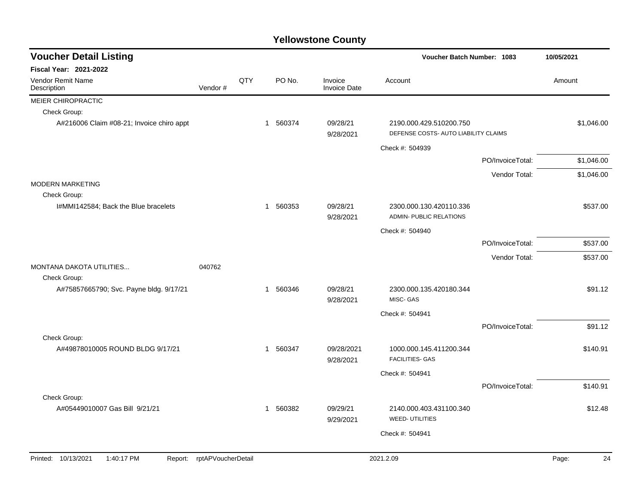| <b>Voucher Detail Listing</b>             |                            |     |             |                                |                                                                 | <b>Voucher Batch Number: 1083</b> |             |  |
|-------------------------------------------|----------------------------|-----|-------------|--------------------------------|-----------------------------------------------------------------|-----------------------------------|-------------|--|
| <b>Fiscal Year: 2021-2022</b>             |                            |     |             |                                |                                                                 |                                   |             |  |
| <b>Vendor Remit Name</b><br>Description   | Vendor#                    | QTY | PO No.      | Invoice<br><b>Invoice Date</b> | Account                                                         |                                   | Amount      |  |
| MEIER CHIROPRACTIC                        |                            |     |             |                                |                                                                 |                                   |             |  |
| Check Group:                              |                            |     |             |                                |                                                                 |                                   |             |  |
| A#216006 Claim #08-21; Invoice chiro appt |                            |     | 1 560374    | 09/28/21<br>9/28/2021          | 2190.000.429.510200.750<br>DEFENSE COSTS- AUTO LIABILITY CLAIMS |                                   | \$1,046.00  |  |
|                                           |                            |     |             |                                | Check #: 504939                                                 |                                   |             |  |
|                                           |                            |     |             |                                |                                                                 | PO/InvoiceTotal:                  | \$1,046.00  |  |
|                                           |                            |     |             |                                |                                                                 | Vendor Total:                     | \$1,046.00  |  |
| <b>MODERN MARKETING</b>                   |                            |     |             |                                |                                                                 |                                   |             |  |
| Check Group:                              |                            |     |             |                                |                                                                 |                                   |             |  |
| I#MMI142584; Back the Blue bracelets      |                            |     | 1 560353    | 09/28/21<br>9/28/2021          | 2300.000.130.420110.336<br><b>ADMIN- PUBLIC RELATIONS</b>       |                                   | \$537.00    |  |
|                                           |                            |     |             |                                | Check #: 504940                                                 |                                   |             |  |
|                                           |                            |     |             |                                |                                                                 | PO/InvoiceTotal:                  | \$537.00    |  |
|                                           |                            |     |             |                                |                                                                 | Vendor Total:                     | \$537.00    |  |
| MONTANA DAKOTA UTILITIES<br>Check Group:  | 040762                     |     |             |                                |                                                                 |                                   |             |  |
| A#75857665790; Svc. Payne bldg. 9/17/21   |                            |     | 1 560346    | 09/28/21<br>9/28/2021          | 2300.000.135.420180.344<br>MISC-GAS                             |                                   | \$91.12     |  |
|                                           |                            |     |             |                                | Check #: 504941                                                 |                                   |             |  |
|                                           |                            |     |             |                                |                                                                 | PO/InvoiceTotal:                  | \$91.12     |  |
| Check Group:                              |                            |     |             |                                |                                                                 |                                   |             |  |
| A#49878010005 ROUND BLDG 9/17/21          |                            |     | 560347<br>1 | 09/28/2021<br>9/28/2021        | 1000.000.145.411200.344<br><b>FACILITIES- GAS</b>               |                                   | \$140.91    |  |
|                                           |                            |     |             |                                | Check #: 504941                                                 |                                   |             |  |
|                                           |                            |     |             |                                |                                                                 | PO/InvoiceTotal:                  | \$140.91    |  |
| Check Group:                              |                            |     |             |                                |                                                                 |                                   |             |  |
| A#05449010007 Gas Bill 9/21/21            |                            |     | 560382<br>1 | 09/29/21<br>9/29/2021          | 2140.000.403.431100.340<br><b>WEED- UTILITIES</b>               |                                   | \$12.48     |  |
|                                           |                            |     |             |                                | Check #: 504941                                                 |                                   |             |  |
|                                           |                            |     |             |                                |                                                                 |                                   |             |  |
| Printed: 10/13/2021<br>1:40:17 PM         | Report: rptAPVoucherDetail |     |             |                                | 2021.2.09                                                       |                                   | Page:<br>24 |  |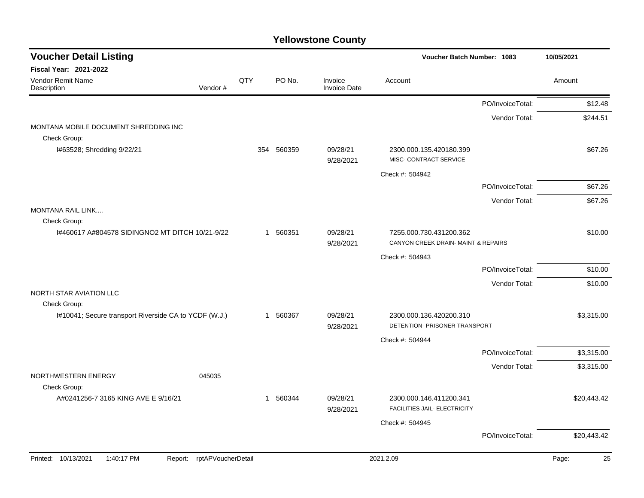| <b>Voucher Detail Listing</b>                                      |              |            |                                | Voucher Batch Number: 1083                                    |                  | 10/05/2021  |
|--------------------------------------------------------------------|--------------|------------|--------------------------------|---------------------------------------------------------------|------------------|-------------|
| <b>Fiscal Year: 2021-2022</b>                                      |              |            |                                |                                                               |                  |             |
| Vendor Remit Name<br>Description<br>Vendor#                        | QTY          | PO No.     | Invoice<br><b>Invoice Date</b> | Account                                                       |                  | Amount      |
|                                                                    |              |            |                                |                                                               | PO/InvoiceTotal: | \$12.48     |
| MONTANA MOBILE DOCUMENT SHREDDING INC<br>Check Group:              |              |            |                                |                                                               | Vendor Total:    | \$244.51    |
| I#63528; Shredding 9/22/21                                         |              | 354 560359 | 09/28/21<br>9/28/2021          | 2300.000.135.420180.399<br>MISC- CONTRACT SERVICE             |                  | \$67.26     |
|                                                                    |              |            |                                | Check #: 504942                                               |                  |             |
|                                                                    |              |            |                                |                                                               | PO/InvoiceTotal: | \$67.26     |
| <b>MONTANA RAIL LINK</b>                                           |              |            |                                |                                                               | Vendor Total:    | \$67.26     |
| Check Group:                                                       |              |            |                                |                                                               |                  |             |
| 1#460617 A#804578 SIDINGNO2 MT DITCH 10/21-9/22                    | $\mathbf{1}$ | 560351     | 09/28/21<br>9/28/2021          | 7255.000.730.431200.362<br>CANYON CREEK DRAIN-MAINT & REPAIRS |                  | \$10.00     |
|                                                                    |              |            |                                | Check #: 504943                                               |                  |             |
|                                                                    |              |            |                                |                                                               | PO/InvoiceTotal: | \$10.00     |
| NORTH STAR AVIATION LLC<br>Check Group:                            |              |            |                                |                                                               | Vendor Total:    | \$10.00     |
| I#10041; Secure transport Riverside CA to YCDF (W.J.)              | 1            | 560367     | 09/28/21<br>9/28/2021          | 2300.000.136.420200.310<br>DETENTION- PRISONER TRANSPORT      |                  | \$3,315.00  |
|                                                                    |              |            |                                | Check #: 504944                                               |                  |             |
|                                                                    |              |            |                                |                                                               | PO/InvoiceTotal: | \$3,315.00  |
|                                                                    |              |            |                                |                                                               | Vendor Total:    | \$3,315.00  |
| NORTHWESTERN ENERGY<br>045035<br>Check Group:                      |              |            |                                |                                                               |                  |             |
| A#0241256-7 3165 KING AVE E 9/16/21                                |              | 1 560344   | 09/28/21<br>9/28/2021          | 2300.000.146.411200.341<br>FACILITIES JAIL- ELECTRICITY       |                  | \$20,443.42 |
|                                                                    |              |            |                                | Check #: 504945                                               |                  |             |
|                                                                    |              |            |                                |                                                               | PO/InvoiceTotal: | \$20,443.42 |
| Printed: 10/13/2021<br>1:40:17 PM<br>rptAPVoucherDetail<br>Report: |              |            |                                | 2021.2.09                                                     |                  | 25<br>Page: |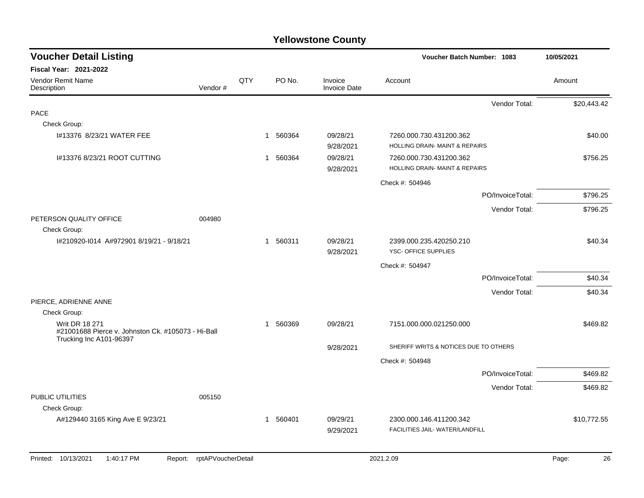| <b>Voucher Detail Listing</b>                                                                          |         |     |                        |                                | <b>Voucher Batch Number: 1083</b>                                    |                  | 10/05/2021  |
|--------------------------------------------------------------------------------------------------------|---------|-----|------------------------|--------------------------------|----------------------------------------------------------------------|------------------|-------------|
| <b>Fiscal Year: 2021-2022</b>                                                                          |         |     |                        |                                |                                                                      |                  |             |
| <b>Vendor Remit Name</b><br>Description                                                                | Vendor# | QTY | PO No.                 | Invoice<br><b>Invoice Date</b> | Account                                                              |                  | Amount      |
|                                                                                                        |         |     |                        |                                |                                                                      | Vendor Total:    | \$20,443.42 |
| <b>PACE</b>                                                                                            |         |     |                        |                                |                                                                      |                  |             |
| Check Group:                                                                                           |         |     |                        |                                |                                                                      |                  |             |
| I#13376 8/23/21 WATER FEE                                                                              |         |     | 560364<br>1            | 09/28/21<br>9/28/2021          | 7260.000.730.431200.362<br><b>HOLLING DRAIN- MAINT &amp; REPAIRS</b> |                  | \$40.00     |
| 1#13376 8/23/21 ROOT CUTTING                                                                           |         |     | 560364<br>1            | 09/28/21<br>9/28/2021          | 7260.000.730.431200.362<br>HOLLING DRAIN- MAINT & REPAIRS            |                  | \$756.25    |
|                                                                                                        |         |     |                        |                                | Check #: 504946                                                      |                  |             |
|                                                                                                        |         |     |                        |                                |                                                                      | PO/InvoiceTotal: | \$796.25    |
|                                                                                                        |         |     |                        |                                |                                                                      | Vendor Total:    | \$796.25    |
| PETERSON QUALITY OFFICE<br>Check Group:                                                                | 004980  |     |                        |                                |                                                                      |                  |             |
| I#210920-I014 A#972901 8/19/21 - 9/18/21                                                               |         |     | 1 560311               | 09/28/21<br>9/28/2021          | 2399.000.235.420250.210<br>YSC- OFFICE SUPPLIES                      |                  | \$40.34     |
|                                                                                                        |         |     |                        |                                | Check #: 504947                                                      |                  |             |
|                                                                                                        |         |     |                        |                                |                                                                      | PO/InvoiceTotal: | \$40.34     |
|                                                                                                        |         |     |                        |                                |                                                                      | Vendor Total:    | \$40.34     |
| PIERCE, ADRIENNE ANNE                                                                                  |         |     |                        |                                |                                                                      |                  |             |
| Check Group:                                                                                           |         |     |                        |                                |                                                                      |                  |             |
| <b>Writ DR 18 271</b><br>#21001688 Pierce v. Johnston Ck. #105073 - Hi-Ball<br>Trucking Inc A101-96397 |         |     | 560369<br>$\mathbf{1}$ | 09/28/21                       | 7151.000.000.021250.000                                              |                  | \$469.82    |
|                                                                                                        |         |     |                        | 9/28/2021                      | SHERIFF WRITS & NOTICES DUE TO OTHERS                                |                  |             |
|                                                                                                        |         |     |                        |                                | Check #: 504948                                                      |                  |             |
|                                                                                                        |         |     |                        |                                |                                                                      | PO/InvoiceTotal: | \$469.82    |
|                                                                                                        |         |     |                        |                                |                                                                      | Vendor Total:    | \$469.82    |
| PUBLIC UTILITIES<br>Check Group:                                                                       | 005150  |     |                        |                                |                                                                      |                  |             |
| A#129440 3165 King Ave E 9/23/21                                                                       |         |     | 1 560401               | 09/29/21<br>9/29/2021          | 2300.000.146.411200.342<br>FACILITIES JAIL- WATER/LANDFILL           |                  | \$10,772.55 |
|                                                                                                        |         |     |                        |                                |                                                                      |                  |             |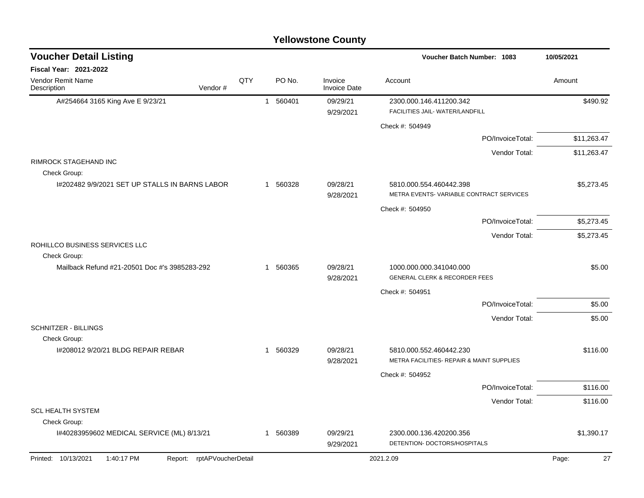|  | <b>Yellowstone County</b> |  |
|--|---------------------------|--|
|--|---------------------------|--|

| <b>Voucher Detail Listing</b>                      |                               |     |                          |                                | Voucher Batch Number: 1083                                           | 10/05/2021  |
|----------------------------------------------------|-------------------------------|-----|--------------------------|--------------------------------|----------------------------------------------------------------------|-------------|
| <b>Fiscal Year: 2021-2022</b>                      |                               |     |                          |                                |                                                                      |             |
| Vendor Remit Name<br>Description                   | Vendor#                       | QTY | PO No.                   | Invoice<br><b>Invoice Date</b> | Account                                                              | Amount      |
| A#254664 3165 King Ave E 9/23/21                   |                               |     | 560401<br>$\overline{1}$ | 09/29/21<br>9/29/2021          | 2300.000.146.411200.342<br>FACILITIES JAIL- WATER/LANDFILL           | \$490.92    |
|                                                    |                               |     |                          |                                | Check #: 504949                                                      |             |
|                                                    |                               |     |                          |                                | PO/InvoiceTotal:                                                     | \$11,263.47 |
|                                                    |                               |     |                          |                                | Vendor Total:                                                        | \$11,263.47 |
| <b>RIMROCK STAGEHAND INC</b><br>Check Group:       |                               |     |                          |                                |                                                                      |             |
| I#202482 9/9/2021 SET UP STALLS IN BARNS LABOR     |                               |     | 560328<br>1              | 09/28/21<br>9/28/2021          | 5810.000.554.460442.398<br>METRA EVENTS-VARIABLE CONTRACT SERVICES   | \$5,273.45  |
|                                                    |                               |     |                          |                                | Check #: 504950                                                      |             |
|                                                    |                               |     |                          |                                | PO/InvoiceTotal:                                                     | \$5,273.45  |
|                                                    |                               |     |                          |                                | Vendor Total:                                                        | \$5,273.45  |
| ROHILLCO BUSINESS SERVICES LLC<br>Check Group:     |                               |     |                          |                                |                                                                      |             |
| Mailback Refund #21-20501 Doc #'s 3985283-292      |                               |     | 560365<br>$\mathbf{1}$   | 09/28/21<br>9/28/2021          | 1000.000.000.341040.000<br><b>GENERAL CLERK &amp; RECORDER FEES</b>  | \$5.00      |
|                                                    |                               |     |                          |                                | Check #: 504951                                                      |             |
|                                                    |                               |     |                          |                                | PO/InvoiceTotal:                                                     | \$5.00      |
|                                                    |                               |     |                          |                                | Vendor Total:                                                        | \$5.00      |
| <b>SCHNITZER - BILLINGS</b>                        |                               |     |                          |                                |                                                                      |             |
| Check Group:<br>I#208012 9/20/21 BLDG REPAIR REBAR |                               |     | 560329<br>$\mathbf{1}$   | 09/28/21<br>9/28/2021          | 5810.000.552.460442.230<br>METRA FACILITIES- REPAIR & MAINT SUPPLIES | \$116.00    |
|                                                    |                               |     |                          |                                | Check #: 504952                                                      |             |
|                                                    |                               |     |                          |                                | PO/InvoiceTotal:                                                     | \$116.00    |
|                                                    |                               |     |                          |                                | Vendor Total:                                                        | \$116.00    |
| <b>SCL HEALTH SYSTEM</b>                           |                               |     |                          |                                |                                                                      |             |
| Check Group:                                       |                               |     |                          |                                |                                                                      |             |
| I#40283959602 MEDICAL SERVICE (ML) 8/13/21         |                               |     | 1 560389                 | 09/29/21<br>9/29/2021          | 2300.000.136.420200.356<br>DETENTION- DOCTORS/HOSPITALS              | \$1,390.17  |
| Printed: 10/13/2021<br>1:40:17 PM                  | rptAPVoucherDetail<br>Report: |     |                          |                                | 2021.2.09                                                            | 27<br>Page: |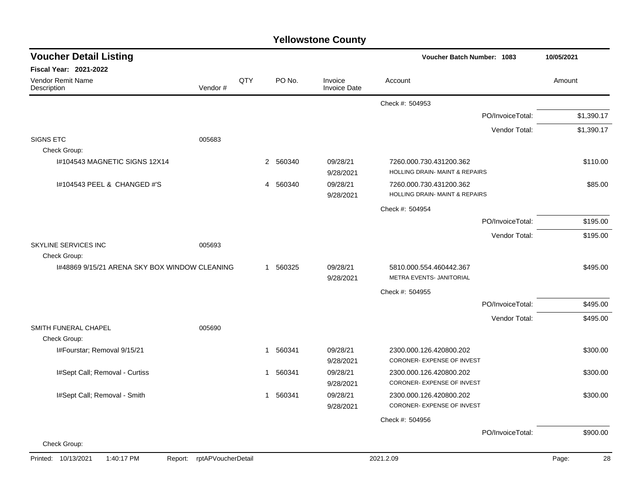|                                               |                            |     |   |          | <b>Yellowstone County</b>      |                                                           |                  |            |            |
|-----------------------------------------------|----------------------------|-----|---|----------|--------------------------------|-----------------------------------------------------------|------------------|------------|------------|
| <b>Voucher Detail Listing</b>                 |                            |     |   |          |                                | Voucher Batch Number: 1083                                |                  | 10/05/2021 |            |
| Fiscal Year: 2021-2022                        |                            |     |   |          |                                |                                                           |                  |            |            |
| Vendor Remit Name<br>Description              | Vendor#                    | QTY |   | PO No.   | Invoice<br><b>Invoice Date</b> | Account                                                   |                  | Amount     |            |
|                                               |                            |     |   |          |                                | Check #: 504953                                           |                  |            |            |
|                                               |                            |     |   |          |                                |                                                           | PO/InvoiceTotal: |            | \$1,390.17 |
|                                               |                            |     |   |          |                                |                                                           | Vendor Total:    |            | \$1,390.17 |
| <b>SIGNS ETC</b>                              | 005683                     |     |   |          |                                |                                                           |                  |            |            |
| Check Group:                                  |                            |     |   |          |                                |                                                           |                  |            |            |
| I#104543 MAGNETIC SIGNS 12X14                 |                            |     |   | 2 560340 | 09/28/21<br>9/28/2021          | 7260.000.730.431200.362<br>HOLLING DRAIN- MAINT & REPAIRS |                  |            | \$110.00   |
| I#104543 PEEL & CHANGED #'S                   |                            |     | 4 | 560340   | 09/28/21<br>9/28/2021          | 7260.000.730.431200.362<br>HOLLING DRAIN- MAINT & REPAIRS |                  |            | \$85.00    |
|                                               |                            |     |   |          |                                | Check #: 504954                                           |                  |            |            |
|                                               |                            |     |   |          |                                |                                                           | PO/InvoiceTotal: |            | \$195.00   |
|                                               |                            |     |   |          |                                |                                                           | Vendor Total:    |            | \$195.00   |
| SKYLINE SERVICES INC                          | 005693                     |     |   |          |                                |                                                           |                  |            |            |
| Check Group:                                  |                            |     |   |          |                                |                                                           |                  |            |            |
| I#48869 9/15/21 ARENA SKY BOX WINDOW CLEANING |                            |     | 1 | 560325   | 09/28/21<br>9/28/2021          | 5810.000.554.460442.367<br>METRA EVENTS- JANITORIAL       |                  |            | \$495.00   |
|                                               |                            |     |   |          |                                | Check #: 504955                                           |                  |            |            |
|                                               |                            |     |   |          |                                |                                                           | PO/InvoiceTotal: |            | \$495.00   |
|                                               |                            |     |   |          |                                |                                                           | Vendor Total:    |            | \$495.00   |
| SMITH FUNERAL CHAPEL<br>Check Group:          | 005690                     |     |   |          |                                |                                                           |                  |            |            |
| I#Fourstar; Removal 9/15/21                   |                            |     | 1 | 560341   | 09/28/21                       | 2300.000.126.420800.202                                   |                  |            | \$300.00   |
|                                               |                            |     |   |          | 9/28/2021                      | CORONER- EXPENSE OF INVEST                                |                  |            |            |
| I#Sept Call; Removal - Curtiss                |                            |     | 1 | 560341   | 09/28/21<br>9/28/2021          | 2300.000.126.420800.202<br>CORONER- EXPENSE OF INVEST     |                  |            | \$300.00   |
| I#Sept Call; Removal - Smith                  |                            |     | 1 | 560341   | 09/28/21                       | 2300.000.126.420800.202                                   |                  |            | \$300.00   |
|                                               |                            |     |   |          | 9/28/2021                      | CORONER- EXPENSE OF INVEST                                |                  |            |            |
|                                               |                            |     |   |          |                                | Check #: 504956                                           |                  |            |            |
|                                               |                            |     |   |          |                                |                                                           | PO/InvoiceTotal: |            | \$900.00   |
| Check Group:                                  |                            |     |   |          |                                |                                                           |                  |            |            |
| Printed: 10/13/2021<br>1:40:17 PM             | Report: rptAPVoucherDetail |     |   |          |                                | 2021.2.09                                                 |                  | Page:      | 28         |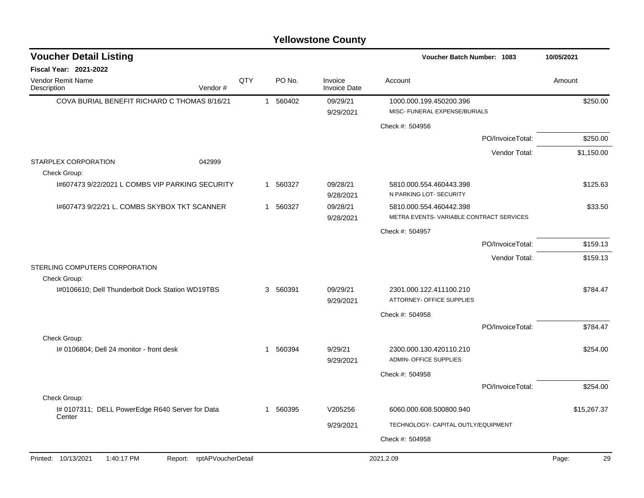| <b>Voucher Detail Listing</b>                             |                            |     |              |        |                                | <b>Voucher Batch Number: 1083</b>                        |                  | 10/05/2021  |
|-----------------------------------------------------------|----------------------------|-----|--------------|--------|--------------------------------|----------------------------------------------------------|------------------|-------------|
| Fiscal Year: 2021-2022                                    |                            |     |              |        |                                |                                                          |                  |             |
| Vendor Remit Name<br>Description                          | Vendor#                    | QTY |              | PO No. | Invoice<br><b>Invoice Date</b> | Account                                                  |                  | Amount      |
| COVA BURIAL BENEFIT RICHARD C THOMAS 8/16/21              |                            |     | $\mathbf{1}$ | 560402 | 09/29/21                       | 1000.000.199.450200.396                                  |                  | \$250.00    |
|                                                           |                            |     |              |        | 9/29/2021                      | MISC- FUNERAL EXPENSE/BURIALS                            |                  |             |
|                                                           |                            |     |              |        |                                | Check #: 504956                                          |                  |             |
|                                                           |                            |     |              |        |                                |                                                          | PO/InvoiceTotal: | \$250.00    |
|                                                           |                            |     |              |        |                                |                                                          | Vendor Total:    | \$1,150.00  |
| STARPLEX CORPORATION<br>Check Group:                      | 042999                     |     |              |        |                                |                                                          |                  |             |
| 1#607473 9/22/2021 L COMBS VIP PARKING SECURITY           |                            |     | 1            | 560327 | 09/28/21<br>9/28/2021          | 5810.000.554.460443.398<br>N PARKING LOT- SECURITY       |                  | \$125.63    |
| I#607473 9/22/21 L. COMBS SKYBOX TKT SCANNER              |                            |     | 1 560327     |        | 09/28/21                       | 5810.000.554.460442.398                                  |                  | \$33.50     |
|                                                           |                            |     |              |        | 9/28/2021                      | METRA EVENTS-VARIABLE CONTRACT SERVICES                  |                  |             |
|                                                           |                            |     |              |        |                                | Check #: 504957                                          |                  |             |
|                                                           |                            |     |              |        |                                |                                                          | PO/InvoiceTotal: | \$159.13    |
|                                                           |                            |     |              |        |                                |                                                          | Vendor Total:    | \$159.13    |
| STERLING COMPUTERS CORPORATION<br>Check Group:            |                            |     |              |        |                                |                                                          |                  |             |
| I#0106610; Dell Thunderbolt Dock Station WD19TBS          |                            |     | 3 560391     |        | 09/29/21<br>9/29/2021          | 2301.000.122.411100.210<br>ATTORNEY- OFFICE SUPPLIES     |                  | \$784.47    |
|                                                           |                            |     |              |        |                                | Check #: 504958                                          |                  |             |
|                                                           |                            |     |              |        |                                |                                                          | PO/InvoiceTotal: | \$784.47    |
| Check Group:                                              |                            |     |              |        |                                |                                                          |                  |             |
| I# 0106804; Dell 24 monitor - front desk                  |                            |     | -1           | 560394 | 9/29/21<br>9/29/2021           | 2300.000.130.420110.210<br><b>ADMIN- OFFICE SUPPLIES</b> |                  | \$254.00    |
|                                                           |                            |     |              |        |                                | Check #: 504958                                          |                  |             |
|                                                           |                            |     |              |        |                                |                                                          | PO/InvoiceTotal: | \$254.00    |
| Check Group:                                              |                            |     |              |        |                                |                                                          |                  |             |
| I# 0107311; DELL PowerEdge R640 Server for Data<br>Center |                            |     | 1 560395     |        | V205256                        | 6060.000.608.500800.940                                  |                  | \$15,267.37 |
|                                                           |                            |     |              |        | 9/29/2021                      | TECHNOLOGY- CAPITAL OUTLY/EQUIPMENT                      |                  |             |
|                                                           |                            |     |              |        |                                | Check #: 504958                                          |                  |             |
|                                                           |                            |     |              |        |                                |                                                          |                  |             |
| Printed: 10/13/2021<br>1:40:17 PM                         | Report: rptAPVoucherDetail |     |              |        |                                | 2021.2.09                                                |                  | Page:<br>29 |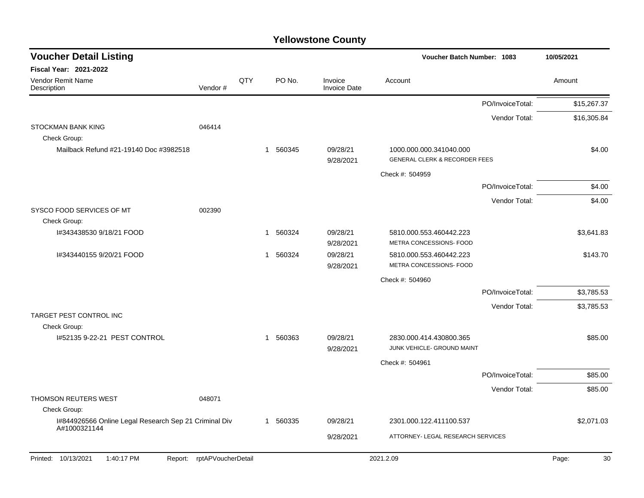| <b>Voucher Detail Listing</b>                                         |                    |     |          |                                | Voucher Batch Number: 1083                                          | 10/05/2021  |
|-----------------------------------------------------------------------|--------------------|-----|----------|--------------------------------|---------------------------------------------------------------------|-------------|
| <b>Fiscal Year: 2021-2022</b>                                         |                    |     |          |                                |                                                                     |             |
| Vendor Remit Name<br>Description                                      | Vendor#            | QTY | PO No.   | Invoice<br><b>Invoice Date</b> | Account                                                             | Amount      |
|                                                                       |                    |     |          |                                | PO/InvoiceTotal:                                                    | \$15,267.37 |
|                                                                       |                    |     |          |                                | Vendor Total:                                                       | \$16,305.84 |
| <b>STOCKMAN BANK KING</b>                                             | 046414             |     |          |                                |                                                                     |             |
| Check Group:                                                          |                    |     |          |                                |                                                                     |             |
| Mailback Refund #21-19140 Doc #3982518                                |                    |     | 1 560345 | 09/28/21<br>9/28/2021          | 1000.000.000.341040.000<br><b>GENERAL CLERK &amp; RECORDER FEES</b> | \$4.00      |
|                                                                       |                    |     |          |                                | Check #: 504959                                                     |             |
|                                                                       |                    |     |          |                                | PO/InvoiceTotal:                                                    | \$4.00      |
|                                                                       |                    |     |          |                                | Vendor Total:                                                       | \$4.00      |
| SYSCO FOOD SERVICES OF MT                                             | 002390             |     |          |                                |                                                                     |             |
| Check Group:                                                          |                    |     |          |                                |                                                                     |             |
| I#343438530 9/18/21 FOOD                                              |                    |     | 1 560324 | 09/28/21<br>9/28/2021          | 5810.000.553.460442.223<br>METRA CONCESSIONS- FOOD                  | \$3,641.83  |
| I#343440155 9/20/21 FOOD                                              |                    |     | 1 560324 | 09/28/21<br>9/28/2021          | 5810.000.553.460442.223<br>METRA CONCESSIONS- FOOD                  | \$143.70    |
|                                                                       |                    |     |          |                                | Check #: 504960                                                     |             |
|                                                                       |                    |     |          |                                | PO/InvoiceTotal:                                                    | \$3,785.53  |
|                                                                       |                    |     |          |                                | Vendor Total:                                                       | \$3,785.53  |
| TARGET PEST CONTROL INC                                               |                    |     |          |                                |                                                                     |             |
| Check Group:                                                          |                    |     |          |                                |                                                                     |             |
| I#52135 9-22-21 PEST CONTROL                                          |                    |     | 1 560363 | 09/28/21<br>9/28/2021          | 2830.000.414.430800.365<br>JUNK VEHICLE- GROUND MAINT               | \$85.00     |
|                                                                       |                    |     |          |                                | Check #: 504961                                                     |             |
|                                                                       |                    |     |          |                                | PO/InvoiceTotal:                                                    | \$85.00     |
|                                                                       |                    |     |          |                                | Vendor Total:                                                       | \$85.00     |
| THOMSON REUTERS WEST                                                  | 048071             |     |          |                                |                                                                     |             |
| Check Group:                                                          |                    |     |          |                                |                                                                     |             |
| I#844926566 Online Legal Research Sep 21 Criminal Div<br>A#1000321144 |                    |     | 1 560335 | 09/28/21                       | 2301.000.122.411100.537                                             | \$2,071.03  |
|                                                                       |                    |     |          | 9/28/2021                      | ATTORNEY- LEGAL RESEARCH SERVICES                                   |             |
| Printed: 10/13/2021<br>1:40:17 PM<br>Report:                          | rptAPVoucherDetail |     |          |                                | 2021.2.09                                                           | Page:<br>30 |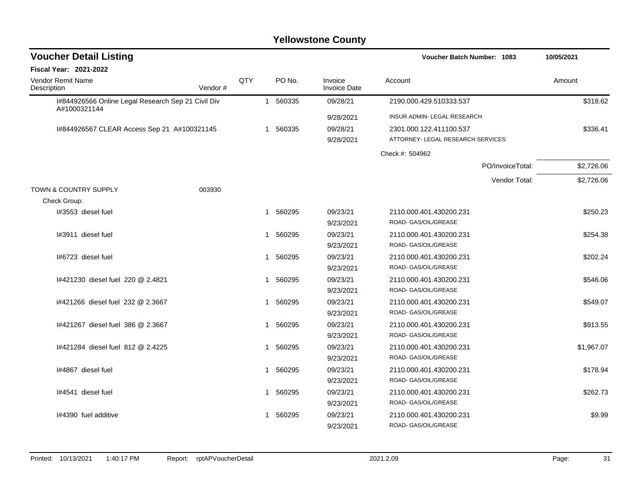| <b>Voucher Detail Listing</b>                                      |         |     | Voucher Batch Number: 1083 |                                |                                   |                  |            |
|--------------------------------------------------------------------|---------|-----|----------------------------|--------------------------------|-----------------------------------|------------------|------------|
| <b>Fiscal Year: 2021-2022</b>                                      |         |     |                            |                                |                                   |                  |            |
| Vendor Remit Name<br>Description                                   | Vendor# | QTY | PO No.                     | Invoice<br><b>Invoice Date</b> | Account                           |                  | Amount     |
| I#844926566 Online Legal Research Sep 21 Civil Div<br>A#1000321144 |         |     | 1 560335                   | 09/28/21                       | 2190.000.429.510333.537           |                  | \$318.62   |
|                                                                    |         |     |                            | 9/28/2021                      | INSUR ADMIN- LEGAL RESEARCH       |                  |            |
| I#844926567 CLEAR Access Sep 21 A#100321145                        |         |     | 1 560335                   | 09/28/21                       | 2301.000.122.411100.537           |                  | \$336.41   |
|                                                                    |         |     |                            | 9/28/2021                      | ATTORNEY- LEGAL RESEARCH SERVICES |                  |            |
|                                                                    |         |     |                            |                                | Check #: 504962                   |                  |            |
|                                                                    |         |     |                            |                                |                                   | PO/InvoiceTotal: | \$2,726.06 |
|                                                                    |         |     |                            |                                |                                   | Vendor Total:    | \$2,726.06 |
| <b>TOWN &amp; COUNTRY SUPPLY</b>                                   | 003930  |     |                            |                                |                                   |                  |            |
| Check Group:                                                       |         |     |                            |                                |                                   |                  |            |
| I#3553 diesel fuel                                                 |         |     | 1 560295                   | 09/23/21                       | 2110.000.401.430200.231           |                  | \$250.23   |
|                                                                    |         |     |                            | 9/23/2021                      | ROAD- GAS/OIL/GREASE              |                  |            |
| I#3911 diesel fuel                                                 |         |     | 1 560295                   | 09/23/21                       | 2110.000.401.430200.231           |                  | \$254.38   |
|                                                                    |         |     |                            | 9/23/2021                      | ROAD- GAS/OIL/GREASE              |                  |            |
| I#6723 diesel fuel                                                 |         |     | 1 560295                   | 09/23/21                       | 2110.000.401.430200.231           |                  | \$202.24   |
|                                                                    |         |     |                            | 9/23/2021                      | ROAD- GAS/OIL/GREASE              |                  |            |
| 1#421230 diesel fuel 220 @ 2.4821                                  |         |     | 1 560295                   | 09/23/21                       | 2110.000.401.430200.231           |                  | \$546.06   |
|                                                                    |         |     |                            | 9/23/2021                      | ROAD- GAS/OIL/GREASE              |                  |            |
| i#421266 diesel fuel 232 @ 2.3667                                  |         |     | 560295<br>1                | 09/23/21                       | 2110.000.401.430200.231           |                  | \$549.07   |
|                                                                    |         |     |                            | 9/23/2021                      | ROAD- GAS/OIL/GREASE              |                  |            |
| 1#421267 diesel fuel 386 @ 2.3667                                  |         |     | 560295<br>1                | 09/23/21                       | 2110.000.401.430200.231           |                  | \$913.55   |
|                                                                    |         |     |                            | 9/23/2021                      | ROAD- GAS/OIL/GREASE              |                  |            |
| 1#421284 diesel fuel 812 @ 2.4225                                  |         |     | 560295<br>1                | 09/23/21                       | 2110.000.401.430200.231           |                  | \$1,967.07 |
|                                                                    |         |     |                            | 9/23/2021                      | ROAD- GAS/OIL/GREASE              |                  |            |
| I#4867 diesel fuel                                                 |         |     | 560295<br>1                | 09/23/21                       | 2110.000.401.430200.231           |                  | \$178.94   |
|                                                                    |         |     |                            | 9/23/2021                      | ROAD- GAS/OIL/GREASE              |                  |            |
| I#4541 diesel fuel                                                 |         |     | 1 560295                   | 09/23/21                       | 2110.000.401.430200.231           |                  | \$262.73   |
|                                                                    |         |     |                            | 9/23/2021                      | ROAD- GAS/OIL/GREASE              |                  |            |
| I#4390 fuel additive                                               |         |     | 560295                     | 09/23/21                       | 2110.000.401.430200.231           |                  | \$9.99     |
|                                                                    |         |     |                            | 9/23/2021                      | ROAD- GAS/OIL/GREASE              |                  |            |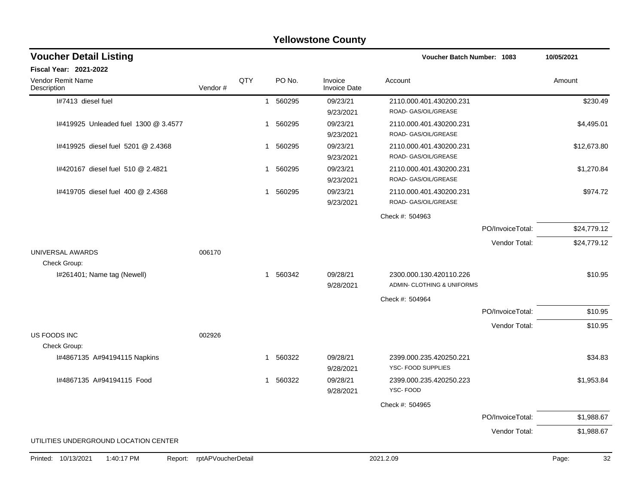| <b>Yellowstone County</b>             |                            |              |                        |                                |                                   |                  |             |  |  |  |
|---------------------------------------|----------------------------|--------------|------------------------|--------------------------------|-----------------------------------|------------------|-------------|--|--|--|
| <b>Voucher Detail Listing</b>         |                            |              |                        |                                | <b>Voucher Batch Number: 1083</b> |                  | 10/05/2021  |  |  |  |
| Fiscal Year: 2021-2022                |                            |              |                        |                                |                                   |                  |             |  |  |  |
| Vendor Remit Name<br>Description      | Vendor#                    | QTY          | PO No.                 | Invoice<br><b>Invoice Date</b> | Account                           |                  | Amount      |  |  |  |
| I#7413 diesel fuel                    |                            |              | 560295<br>$\mathbf{1}$ | 09/23/21                       | 2110.000.401.430200.231           |                  | \$230.49    |  |  |  |
|                                       |                            |              |                        | 9/23/2021                      | ROAD- GAS/OIL/GREASE              |                  |             |  |  |  |
| 1#419925 Unleaded fuel 1300 @ 3.4577  |                            |              | 1 560295               | 09/23/21                       | 2110.000.401.430200.231           |                  | \$4,495.01  |  |  |  |
|                                       |                            |              |                        | 9/23/2021                      | ROAD- GAS/OIL/GREASE              |                  |             |  |  |  |
| 1#419925 diesel fuel 5201 @ 2.4368    |                            | -1           | 560295                 | 09/23/21                       | 2110.000.401.430200.231           |                  | \$12,673.80 |  |  |  |
|                                       |                            |              |                        | 9/23/2021                      | ROAD- GAS/OIL/GREASE              |                  |             |  |  |  |
| I#420167 diesel fuel 510 @ 2.4821     |                            | $\mathbf{1}$ | 560295                 | 09/23/21                       | 2110.000.401.430200.231           |                  | \$1,270.84  |  |  |  |
|                                       |                            |              |                        | 9/23/2021                      | ROAD- GAS/OIL/GREASE              |                  |             |  |  |  |
| 1#419705 diesel fuel 400 @ 2.4368     |                            | -1           | 560295                 | 09/23/21                       | 2110.000.401.430200.231           |                  | \$974.72    |  |  |  |
|                                       |                            |              |                        | 9/23/2021                      | ROAD- GAS/OIL/GREASE              |                  |             |  |  |  |
|                                       |                            |              |                        |                                | Check #: 504963                   |                  |             |  |  |  |
|                                       |                            |              |                        |                                |                                   | PO/InvoiceTotal: | \$24,779.12 |  |  |  |
|                                       |                            |              |                        |                                |                                   | Vendor Total:    | \$24,779.12 |  |  |  |
| UNIVERSAL AWARDS                      | 006170                     |              |                        |                                |                                   |                  |             |  |  |  |
| Check Group:                          |                            |              |                        |                                |                                   |                  |             |  |  |  |
| I#261401; Name tag (Newell)           |                            |              | 1 560342               | 09/28/21                       | 2300.000.130.420110.226           |                  | \$10.95     |  |  |  |
|                                       |                            |              |                        | 9/28/2021                      | ADMIN- CLOTHING & UNIFORMS        |                  |             |  |  |  |
|                                       |                            |              |                        |                                | Check #: 504964                   |                  |             |  |  |  |
|                                       |                            |              |                        |                                |                                   | PO/InvoiceTotal: | \$10.95     |  |  |  |
|                                       |                            |              |                        |                                |                                   | Vendor Total:    | \$10.95     |  |  |  |
| US FOODS INC                          | 002926                     |              |                        |                                |                                   |                  |             |  |  |  |
| Check Group:                          |                            |              |                        |                                |                                   |                  |             |  |  |  |
| I#4867135 A#94194115 Napkins          |                            | -1           | 560322                 | 09/28/21                       | 2399.000.235.420250.221           |                  | \$34.83     |  |  |  |
|                                       |                            |              |                        | 9/28/2021                      | YSC- FOOD SUPPLIES                |                  |             |  |  |  |
| I#4867135 A#94194115 Food             |                            | -1           | 560322                 | 09/28/21                       | 2399.000.235.420250.223           |                  | \$1,953.84  |  |  |  |
|                                       |                            |              |                        | 9/28/2021                      | YSC-FOOD                          |                  |             |  |  |  |
|                                       |                            |              |                        |                                | Check #: 504965                   |                  |             |  |  |  |
|                                       |                            |              |                        |                                |                                   | PO/InvoiceTotal: | \$1,988.67  |  |  |  |
|                                       |                            |              |                        |                                |                                   | Vendor Total:    | \$1,988.67  |  |  |  |
| UTILITIES UNDERGROUND LOCATION CENTER |                            |              |                        |                                |                                   |                  |             |  |  |  |
| Printed: 10/13/2021<br>1:40:17 PM     | Report: rptAPVoucherDetail |              |                        |                                | 2021.2.09                         |                  | 32<br>Page: |  |  |  |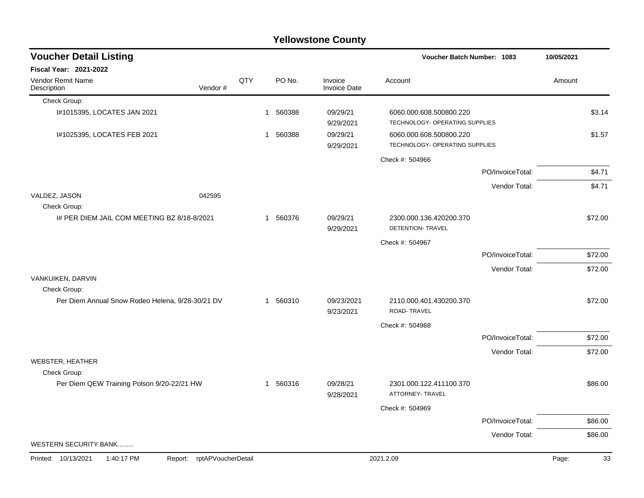#### Check Group: I#1015395, LOCATES JAN 2021 1 560388 09/29/21 6060.000.608.500800.220 \$3.14 9/29/2021 TECHNOLOGY- OPERATING SUPPLIES I#1025395, LOCATES FEB 2021 1 560388 09/29/21 6060.000.608.500800.220 \$1.57 9/29/2021 TECHNOLOGY- OPERATING SUPPLIES Check #: 504966 PO/InvoiceTotal: \$4.71 Vendor Total: \$4.71 VALDEZ, JASON 042595 Check Group: I# PER DIEM JAIL COM MEETING BZ 8/18-8/2021 1 560376 09/29/21 2300.000.136.420200.370 \$72.00 9/29/2021 DETENTION- TRAVEL Check #: 504967 PO/InvoiceTotal: \$72.00 Vendor Total: \$72.00 VANKUIKEN, DARVIN Check Group: Per Diem Annual Snow Rodeo Helena, 9/28-30/21 DV 1 560310 09/23/2021 2110.000.401.430200.370 \$72.00 9/23/2021 ROAD- TRAVEL Check #: 504968 PO/InvoiceTotal: \$72.00 Vendor Total: \$72.00 WEBSTER, HEATHER Check Group: Per Diem QEW Training Polson 9/20-22/21 HW 1 560316 09/28/21 2301.000.122.411100.370 \$86.00 9/28/2021 ATTORNEY- TRAVEL Check #: 504969 PO/InvoiceTotal: \$86.00 Vendor Total: \$86.00 WESTERN SECURITY BANK......... **Voucher Batch Number: Yellowstone County** Vendor Remit Name Description **Voucher Detail Listing Fiscal Year: 2021-2022 1083 10/05/2021** PO No. Invoice Account Amount Amount Amount Amount Vendor # **QTY** Invoice Date Printed: 10/13/2021 1:40:17 PM Report: rptAPVoucherDetail 2021.2.09 2021.2.09 Page: 33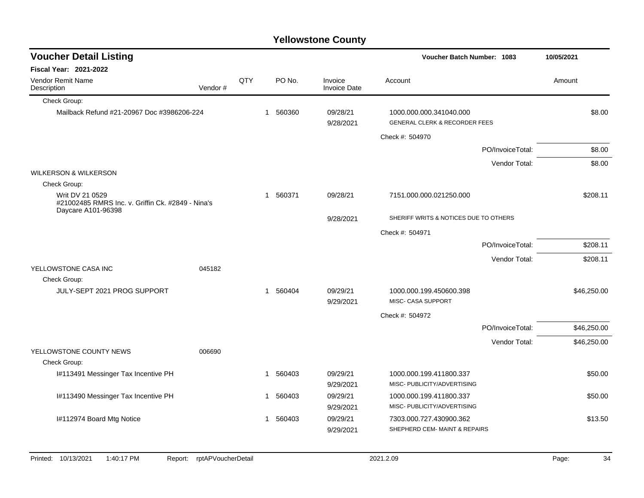| <b>Voucher Detail Listing</b>                                                              |         |     |              |          |                         | <b>Voucher Batch Number: 1083</b>                                   | 10/05/2021       |             |
|--------------------------------------------------------------------------------------------|---------|-----|--------------|----------|-------------------------|---------------------------------------------------------------------|------------------|-------------|
| <b>Fiscal Year: 2021-2022</b>                                                              |         |     |              |          |                         |                                                                     |                  |             |
| Vendor Remit Name<br>Description                                                           | Vendor# | QTY |              | PO No.   | Invoice<br>Invoice Date | Account                                                             |                  | Amount      |
| Check Group:                                                                               |         |     |              |          |                         |                                                                     |                  |             |
| Mailback Refund #21-20967 Doc #3986206-224                                                 |         |     | $\mathbf{1}$ | 560360   | 09/28/21<br>9/28/2021   | 1000.000.000.341040.000<br><b>GENERAL CLERK &amp; RECORDER FEES</b> |                  | \$8.00      |
|                                                                                            |         |     |              |          |                         | Check #: 504970                                                     |                  |             |
|                                                                                            |         |     |              |          |                         |                                                                     | PO/InvoiceTotal: | \$8.00      |
|                                                                                            |         |     |              |          |                         |                                                                     | Vendor Total:    | \$8.00      |
| <b>WILKERSON &amp; WILKERSON</b>                                                           |         |     |              |          |                         |                                                                     |                  |             |
| Check Group:                                                                               |         |     |              |          |                         |                                                                     |                  |             |
| Writ DV 21 0529<br>#21002485 RMRS Inc. v. Griffin Ck. #2849 - Nina's<br>Daycare A101-96398 |         |     |              | 1 560371 | 09/28/21                | 7151.000.000.021250.000                                             |                  | \$208.11    |
|                                                                                            |         |     |              |          | 9/28/2021               | SHERIFF WRITS & NOTICES DUE TO OTHERS                               |                  |             |
|                                                                                            |         |     |              |          |                         | Check #: 504971                                                     |                  |             |
|                                                                                            |         |     |              |          |                         |                                                                     | PO/InvoiceTotal: | \$208.11    |
|                                                                                            |         |     |              |          |                         |                                                                     | Vendor Total:    | \$208.11    |
| YELLOWSTONE CASA INC                                                                       | 045182  |     |              |          |                         |                                                                     |                  |             |
| Check Group:                                                                               |         |     |              |          |                         |                                                                     |                  |             |
| JULY-SEPT 2021 PROG SUPPORT                                                                |         |     | $\mathbf{1}$ | 560404   | 09/29/21<br>9/29/2021   | 1000.000.199.450600.398<br>MISC- CASA SUPPORT                       |                  | \$46,250.00 |
|                                                                                            |         |     |              |          |                         | Check #: 504972                                                     |                  |             |
|                                                                                            |         |     |              |          |                         |                                                                     | PO/InvoiceTotal: | \$46,250.00 |
|                                                                                            |         |     |              |          |                         |                                                                     | Vendor Total:    | \$46,250.00 |
| YELLOWSTONE COUNTY NEWS                                                                    | 006690  |     |              |          |                         |                                                                     |                  |             |
| Check Group:                                                                               |         |     |              |          |                         |                                                                     |                  |             |
| I#113491 Messinger Tax Incentive PH                                                        |         |     | 1            | 560403   | 09/29/21<br>9/29/2021   | 1000.000.199.411800.337<br>MISC- PUBLICITY/ADVERTISING              |                  | \$50.00     |
| I#113490 Messinger Tax Incentive PH                                                        |         |     | 1            | 560403   | 09/29/21                | 1000.000.199.411800.337                                             |                  | \$50.00     |
|                                                                                            |         |     |              |          | 9/29/2021               | MISC- PUBLICITY/ADVERTISING                                         |                  |             |
| I#112974 Board Mtg Notice                                                                  |         |     |              | 1 560403 | 09/29/21                | 7303.000.727.430900.362                                             |                  | \$13.50     |
|                                                                                            |         |     |              |          | 9/29/2021               | SHEPHERD CEM- MAINT & REPAIRS                                       |                  |             |
|                                                                                            |         |     |              |          |                         |                                                                     |                  |             |